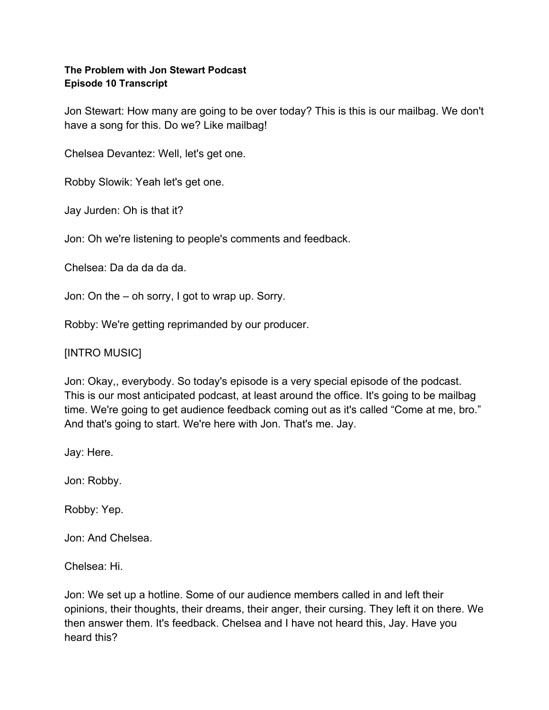#### **The Problem with Jon Stewart Podcast Episode 10 Transcript**

Jon Stewart: How many are going to be over today? This is this is our mailbag. We don't have a song for this. Do we? Like mailbag!

Chelsea Devantez: Well, let's get one.

Robby Slowik: Yeah let's get one.

Jay Jurden: Oh is that it?

Jon: Oh we're listening to people's comments and feedback.

Chelsea: Da da da da da.

Jon: On the – oh sorry, I got to wrap up. Sorry.

Robby: We're getting reprimanded by our producer.

[INTRO MUSIC]

Jon: Okay,, everybody. So today's episode is a very special episode of the podcast. This is our most anticipated podcast, at least around the office. It's going to be mailbag time. We're going to get audience feedback coming out as it's called "Come at me, bro." And that's going to start. We're here with Jon. That's me. Jay.

Jay: Here.

Jon: Robby.

Robby: Yep.

Jon: And Chelsea.

Chelsea: Hi.

Jon: We set up a hotline. Some of our audience members called in and left their opinions, their thoughts, their dreams, their anger, their cursing. They left it on there. We then answer them. It's feedback. Chelsea and I have not heard this, Jay. Have you heard this?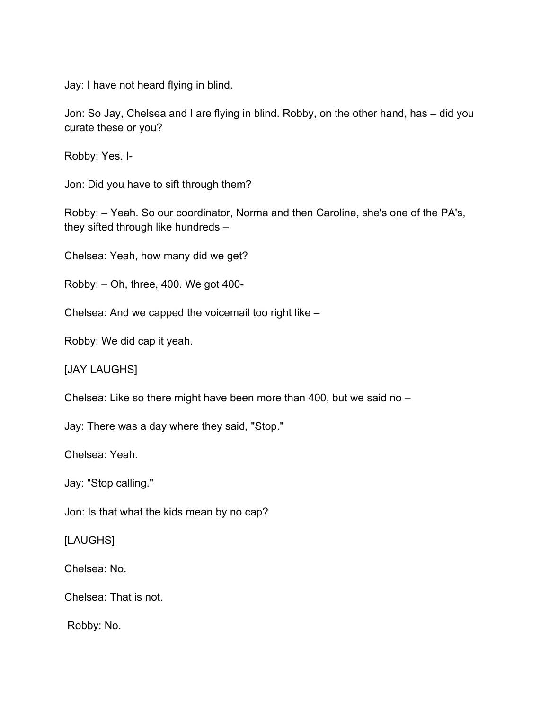Jay: I have not heard flying in blind.

Jon: So Jay, Chelsea and I are flying in blind. Robby, on the other hand, has – did you curate these or you?

Robby: Yes. I-

Jon: Did you have to sift through them?

Robby: – Yeah. So our coordinator, Norma and then Caroline, she's one of the PA's, they sifted through like hundreds –

Chelsea: Yeah, how many did we get?

Robby: – Oh, three, 400. We got 400-

Chelsea: And we capped the voicemail too right like –

Robby: We did cap it yeah.

[JAY LAUGHS]

Chelsea: Like so there might have been more than 400, but we said no –

Jay: There was a day where they said, "Stop."

Chelsea: Yeah.

Jay: "Stop calling."

Jon: Is that what the kids mean by no cap?

[LAUGHS]

Chelsea: No.

Chelsea: That is not.

Robby: No.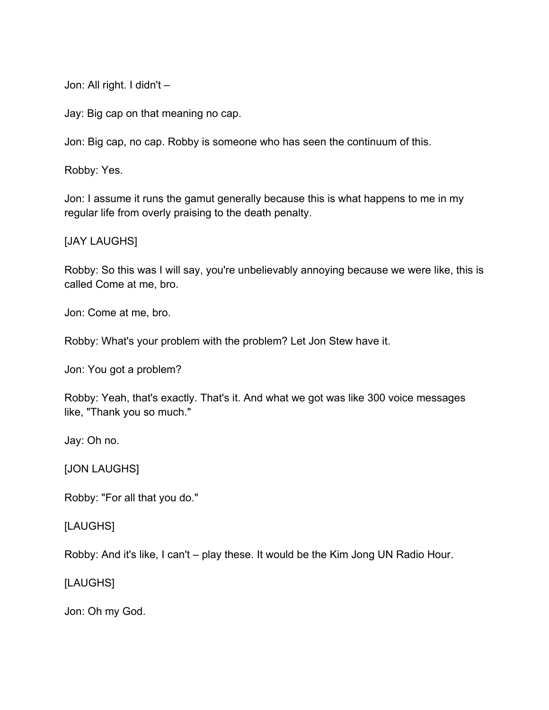Jon: All right. I didn't –

Jay: Big cap on that meaning no cap.

Jon: Big cap, no cap. Robby is someone who has seen the continuum of this.

Robby: Yes.

Jon: I assume it runs the gamut generally because this is what happens to me in my regular life from overly praising to the death penalty.

[JAY LAUGHS]

Robby: So this was I will say, you're unbelievably annoying because we were like, this is called Come at me, bro.

Jon: Come at me, bro.

Robby: What's your problem with the problem? Let Jon Stew have it.

Jon: You got a problem?

Robby: Yeah, that's exactly. That's it. And what we got was like 300 voice messages like, "Thank you so much."

Jay: Oh no.

[JON LAUGHS]

Robby: "For all that you do."

[LAUGHS]

Robby: And it's like, I can't – play these. It would be the Kim Jong UN Radio Hour.

[LAUGHS]

Jon: Oh my God.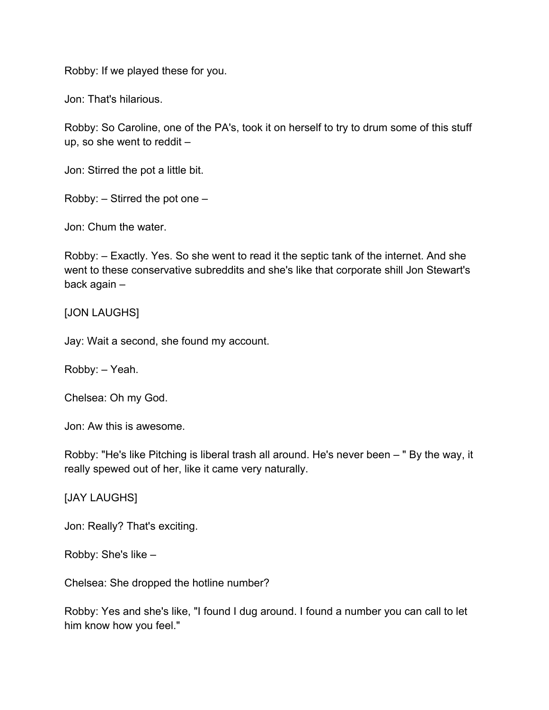Robby: If we played these for you.

Jon: That's hilarious.

Robby: So Caroline, one of the PA's, took it on herself to try to drum some of this stuff up, so she went to reddit –

Jon: Stirred the pot a little bit.

Robby:  $-$  Stirred the pot one  $-$ 

Jon: Chum the water.

Robby: – Exactly. Yes. So she went to read it the septic tank of the internet. And she went to these conservative subreddits and she's like that corporate shill Jon Stewart's back again –

#### [JON LAUGHS]

Jay: Wait a second, she found my account.

Robby: – Yeah.

Chelsea: Oh my God.

Jon: Aw this is awesome.

Robby: "He's like Pitching is liberal trash all around. He's never been – " By the way, it really spewed out of her, like it came very naturally.

[JAY LAUGHS]

Jon: Really? That's exciting.

Robby: She's like –

Chelsea: She dropped the hotline number?

Robby: Yes and she's like, "I found I dug around. I found a number you can call to let him know how you feel."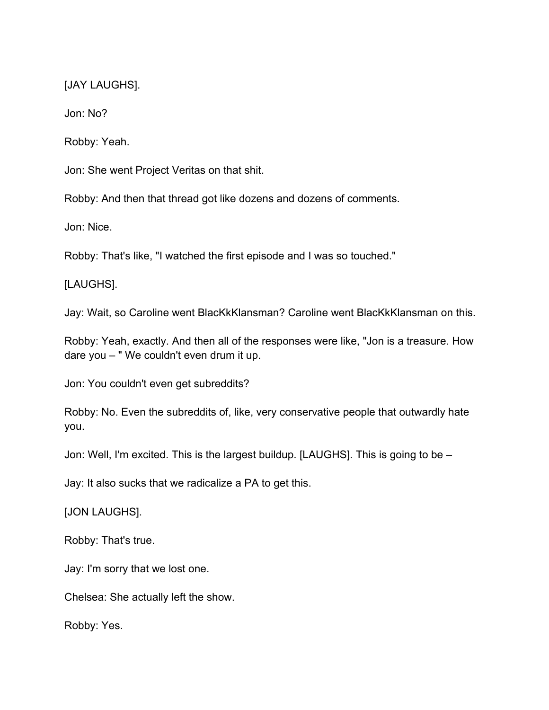[JAY LAUGHS].

Jon: No?

Robby: Yeah.

Jon: She went Project Veritas on that shit.

Robby: And then that thread got like dozens and dozens of comments.

Jon: Nice.

Robby: That's like, "I watched the first episode and I was so touched."

[LAUGHS].

Jay: Wait, so Caroline went BlacKkKlansman? Caroline went BlacKkKlansman on this.

Robby: Yeah, exactly. And then all of the responses were like, "Jon is a treasure. How dare you – " We couldn't even drum it up.

Jon: You couldn't even get subreddits?

Robby: No. Even the subreddits of, like, very conservative people that outwardly hate you.

Jon: Well, I'm excited. This is the largest buildup. [LAUGHS]. This is going to be –

Jay: It also sucks that we radicalize a PA to get this.

[JON LAUGHS].

Robby: That's true.

Jay: I'm sorry that we lost one.

Chelsea: She actually left the show.

Robby: Yes.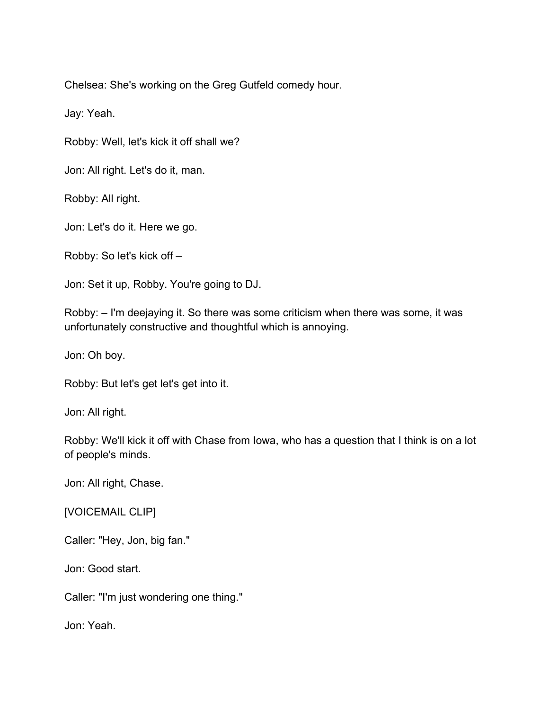Chelsea: She's working on the Greg Gutfeld comedy hour.

Jay: Yeah.

Robby: Well, let's kick it off shall we?

Jon: All right. Let's do it, man.

Robby: All right.

Jon: Let's do it. Here we go.

Robby: So let's kick off –

Jon: Set it up, Robby. You're going to DJ.

Robby: – I'm deejaying it. So there was some criticism when there was some, it was unfortunately constructive and thoughtful which is annoying.

Jon: Oh boy.

Robby: But let's get let's get into it.

Jon: All right.

Robby: We'll kick it off with Chase from Iowa, who has a question that I think is on a lot of people's minds.

Jon: All right, Chase.

#### [VOICEMAIL CLIP]

Caller: "Hey, Jon, big fan."

Jon: Good start.

Caller: "I'm just wondering one thing."

Jon: Yeah.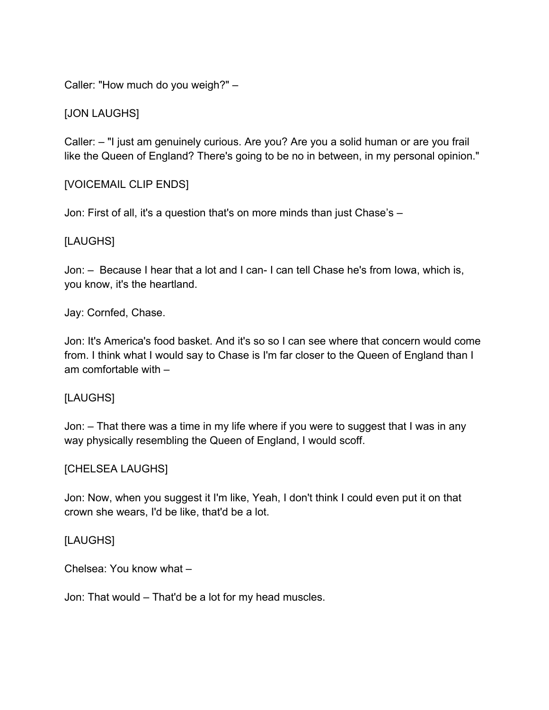Caller: "How much do you weigh?" –

### [JON LAUGHS]

Caller: – "I just am genuinely curious. Are you? Are you a solid human or are you frail like the Queen of England? There's going to be no in between, in my personal opinion."

### [VOICEMAIL CLIP ENDS]

Jon: First of all, it's a question that's on more minds than just Chase's –

### [LAUGHS]

Jon: – Because I hear that a lot and I can- I can tell Chase he's from Iowa, which is, you know, it's the heartland.

Jay: Cornfed, Chase.

Jon: It's America's food basket. And it's so so I can see where that concern would come from. I think what I would say to Chase is I'm far closer to the Queen of England than I am comfortable with –

#### [LAUGHS]

Jon: – That there was a time in my life where if you were to suggest that I was in any way physically resembling the Queen of England, I would scoff.

#### [CHELSEA LAUGHS]

Jon: Now, when you suggest it I'm like, Yeah, I don't think I could even put it on that crown she wears, I'd be like, that'd be a lot.

#### [LAUGHS]

Chelsea: You know what –

Jon: That would – That'd be a lot for my head muscles.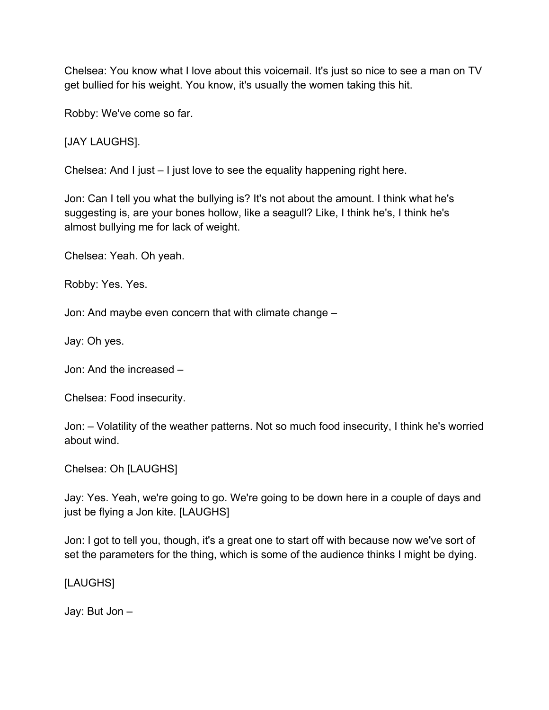Chelsea: You know what I love about this voicemail. It's just so nice to see a man on TV get bullied for his weight. You know, it's usually the women taking this hit.

Robby: We've come so far.

[JAY LAUGHS].

Chelsea: And I just – I just love to see the equality happening right here.

Jon: Can I tell you what the bullying is? It's not about the amount. I think what he's suggesting is, are your bones hollow, like a seagull? Like, I think he's, I think he's almost bullying me for lack of weight.

Chelsea: Yeah. Oh yeah.

Robby: Yes. Yes.

Jon: And maybe even concern that with climate change –

Jay: Oh yes.

Jon: And the increased –

Chelsea: Food insecurity.

Jon: – Volatility of the weather patterns. Not so much food insecurity, I think he's worried about wind.

Chelsea: Oh [LAUGHS]

Jay: Yes. Yeah, we're going to go. We're going to be down here in a couple of days and just be flying a Jon kite. [LAUGHS]

Jon: I got to tell you, though, it's a great one to start off with because now we've sort of set the parameters for the thing, which is some of the audience thinks I might be dying.

[LAUGHS]

Jay: But Jon –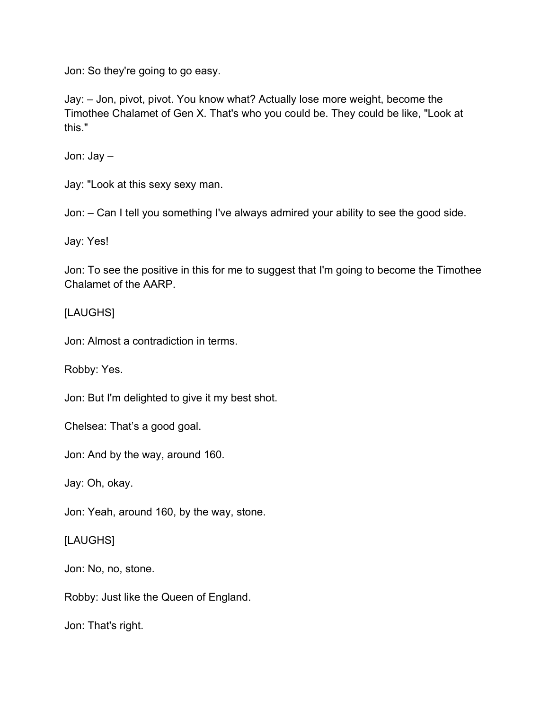Jon: So they're going to go easy.

Jay: – Jon, pivot, pivot. You know what? Actually lose more weight, become the Timothee Chalamet of Gen X. That's who you could be. They could be like, "Look at this."

Jon: Jay –

Jay: "Look at this sexy sexy man.

Jon: – Can I tell you something I've always admired your ability to see the good side.

Jay: Yes!

Jon: To see the positive in this for me to suggest that I'm going to become the Timothee Chalamet of the AARP.

#### [LAUGHS]

Jon: Almost a contradiction in terms.

Robby: Yes.

Jon: But I'm delighted to give it my best shot.

Chelsea: That's a good goal.

Jon: And by the way, around 160.

Jay: Oh, okay.

Jon: Yeah, around 160, by the way, stone.

[LAUGHS]

Jon: No, no, stone.

Robby: Just like the Queen of England.

Jon: That's right.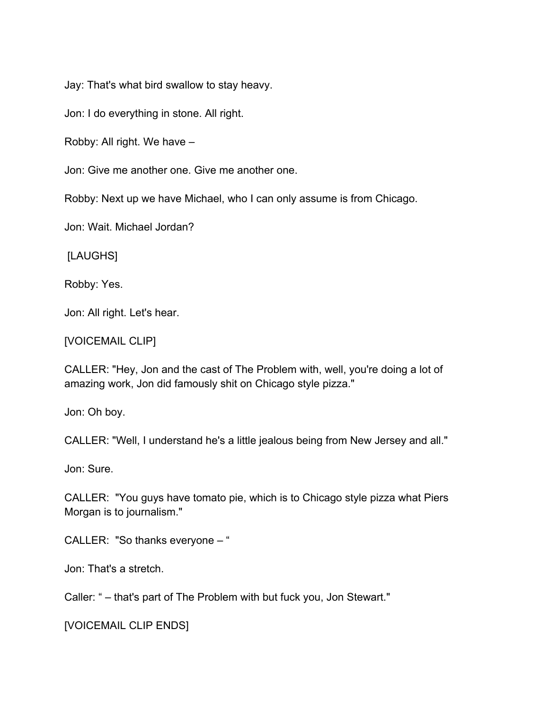Jay: That's what bird swallow to stay heavy.

Jon: I do everything in stone. All right.

Robby: All right. We have –

Jon: Give me another one. Give me another one.

Robby: Next up we have Michael, who I can only assume is from Chicago.

Jon: Wait. Michael Jordan?

[LAUGHS]

Robby: Yes.

Jon: All right. Let's hear.

[VOICEMAIL CLIP]

CALLER: "Hey, Jon and the cast of The Problem with, well, you're doing a lot of amazing work, Jon did famously shit on Chicago style pizza."

Jon: Oh boy.

CALLER: "Well, I understand he's a little jealous being from New Jersey and all."

Jon: Sure.

CALLER: "You guys have tomato pie, which is to Chicago style pizza what Piers Morgan is to journalism."

CALLER: "So thanks everyone – "

Jon: That's a stretch.

Caller: " – that's part of The Problem with but fuck you, Jon Stewart."

[VOICEMAIL CLIP ENDS]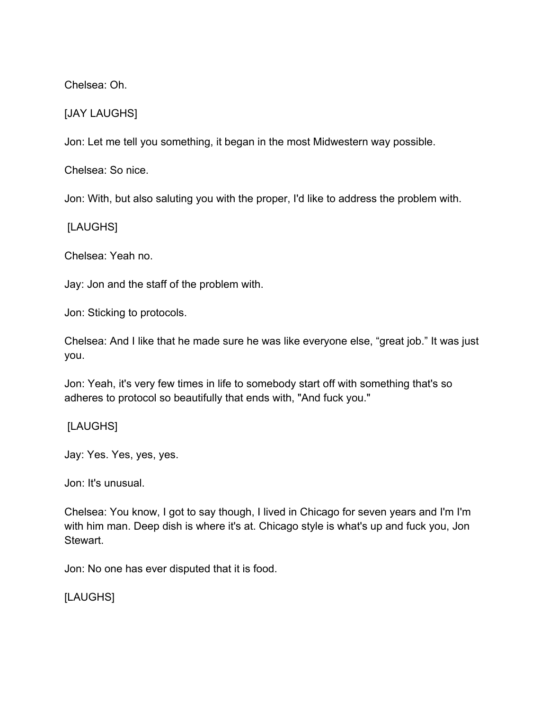Chelsea: Oh.

## [JAY LAUGHS]

Jon: Let me tell you something, it began in the most Midwestern way possible.

Chelsea: So nice.

Jon: With, but also saluting you with the proper, I'd like to address the problem with.

[LAUGHS]

Chelsea: Yeah no.

Jay: Jon and the staff of the problem with.

Jon: Sticking to protocols.

Chelsea: And I like that he made sure he was like everyone else, "great job." It was just you.

Jon: Yeah, it's very few times in life to somebody start off with something that's so adheres to protocol so beautifully that ends with, "And fuck you."

[LAUGHS]

Jay: Yes. Yes, yes, yes.

Jon: It's unusual.

Chelsea: You know, I got to say though, I lived in Chicago for seven years and I'm I'm with him man. Deep dish is where it's at. Chicago style is what's up and fuck you, Jon Stewart.

Jon: No one has ever disputed that it is food.

[LAUGHS]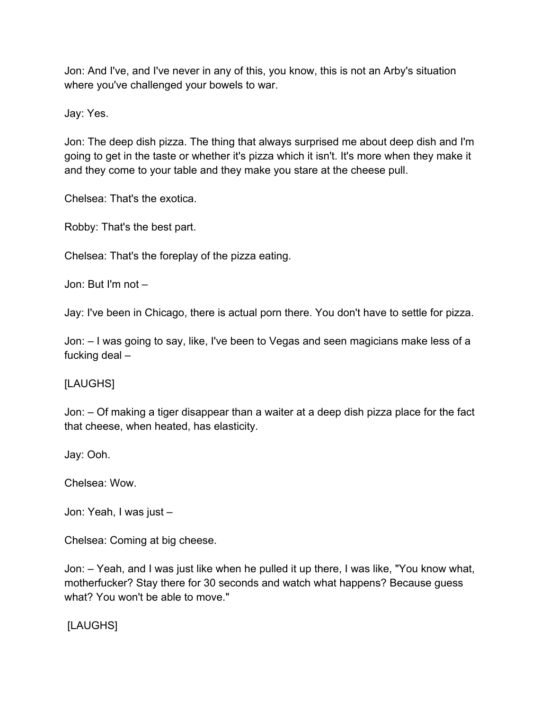Jon: And I've, and I've never in any of this, you know, this is not an Arby's situation where you've challenged your bowels to war.

Jay: Yes.

Jon: The deep dish pizza. The thing that always surprised me about deep dish and I'm going to get in the taste or whether it's pizza which it isn't. It's more when they make it and they come to your table and they make you stare at the cheese pull.

Chelsea: That's the exotica.

Robby: That's the best part.

Chelsea: That's the foreplay of the pizza eating.

Jon: But I'm not –

Jay: I've been in Chicago, there is actual porn there. You don't have to settle for pizza.

Jon: – I was going to say, like, I've been to Vegas and seen magicians make less of a fucking deal –

[LAUGHS]

Jon: – Of making a tiger disappear than a waiter at a deep dish pizza place for the fact that cheese, when heated, has elasticity.

Jay: Ooh.

Chelsea: Wow.

Jon: Yeah, I was just –

Chelsea: Coming at big cheese.

Jon: – Yeah, and I was just like when he pulled it up there, I was like, "You know what, motherfucker? Stay there for 30 seconds and watch what happens? Because guess what? You won't be able to move."

[LAUGHS]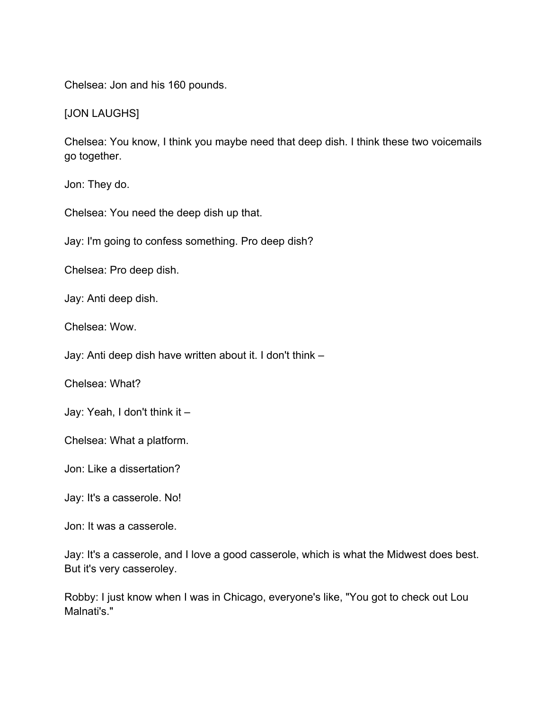Chelsea: Jon and his 160 pounds.

[JON LAUGHS]

Chelsea: You know, I think you maybe need that deep dish. I think these two voicemails go together.

Jon: They do.

Chelsea: You need the deep dish up that.

Jay: I'm going to confess something. Pro deep dish?

Chelsea: Pro deep dish.

Jay: Anti deep dish.

Chelsea: Wow.

Jay: Anti deep dish have written about it. I don't think –

Chelsea: What?

Jay: Yeah, I don't think it –

Chelsea: What a platform.

Jon: Like a dissertation?

Jay: It's a casserole. No!

Jon: It was a casserole.

Jay: It's a casserole, and I love a good casserole, which is what the Midwest does best. But it's very casseroley.

Robby: I just know when I was in Chicago, everyone's like, "You got to check out Lou Malnati's."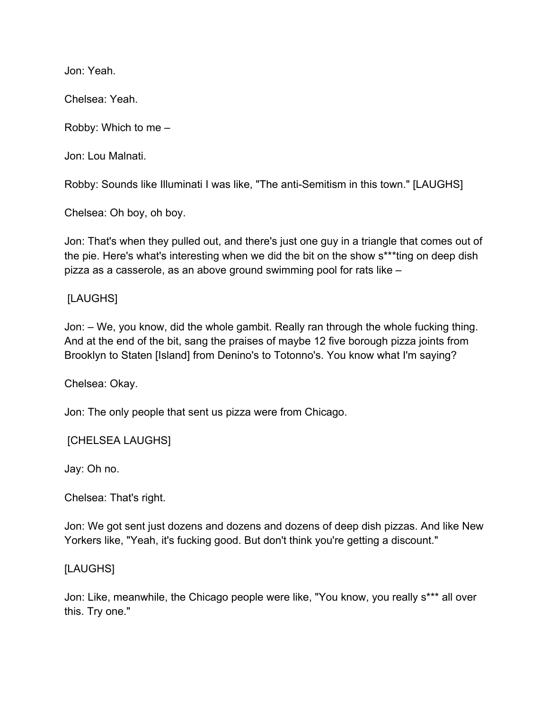Jon: Yeah.

Chelsea: Yeah.

Robby: Which to me –

Jon: Lou Malnati.

Robby: Sounds like Illuminati I was like, "The anti-Semitism in this town." [LAUGHS]

Chelsea: Oh boy, oh boy.

Jon: That's when they pulled out, and there's just one guy in a triangle that comes out of the pie. Here's what's interesting when we did the bit on the show s\*\*\*ting on deep dish pizza as a casserole, as an above ground swimming pool for rats like –

### [LAUGHS]

Jon: – We, you know, did the whole gambit. Really ran through the whole fucking thing. And at the end of the bit, sang the praises of maybe 12 five borough pizza joints from Brooklyn to Staten [Island] from Denino's to Totonno's. You know what I'm saying?

Chelsea: Okay.

Jon: The only people that sent us pizza were from Chicago.

[CHELSEA LAUGHS]

Jay: Oh no.

Chelsea: That's right.

Jon: We got sent just dozens and dozens and dozens of deep dish pizzas. And like New Yorkers like, "Yeah, it's fucking good. But don't think you're getting a discount."

### [LAUGHS]

Jon: Like, meanwhile, the Chicago people were like, "You know, you really s\*\*\* all over this. Try one."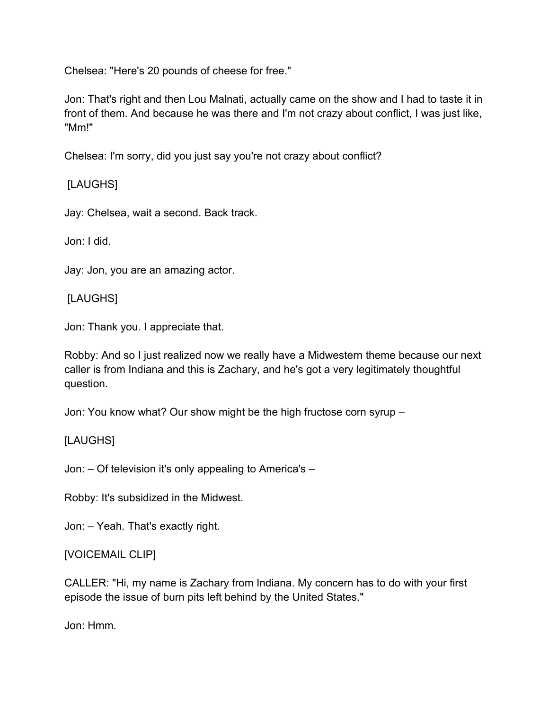Chelsea: "Here's 20 pounds of cheese for free."

Jon: That's right and then Lou Malnati, actually came on the show and I had to taste it in front of them. And because he was there and I'm not crazy about conflict, I was just like, "Mm!"

Chelsea: I'm sorry, did you just say you're not crazy about conflict?

# [LAUGHS]

Jay: Chelsea, wait a second. Back track.

Jon: I did.

Jay: Jon, you are an amazing actor.

[LAUGHS]

Jon: Thank you. I appreciate that.

Robby: And so I just realized now we really have a Midwestern theme because our next caller is from Indiana and this is Zachary, and he's got a very legitimately thoughtful question.

Jon: You know what? Our show might be the high fructose corn syrup –

## [LAUGHS]

Jon: – Of television it's only appealing to America's –

Robby: It's subsidized in the Midwest.

Jon: – Yeah. That's exactly right.

## [VOICEMAIL CLIP]

CALLER: "Hi, my name is Zachary from Indiana. My concern has to do with your first episode the issue of burn pits left behind by the United States."

Jon: Hmm.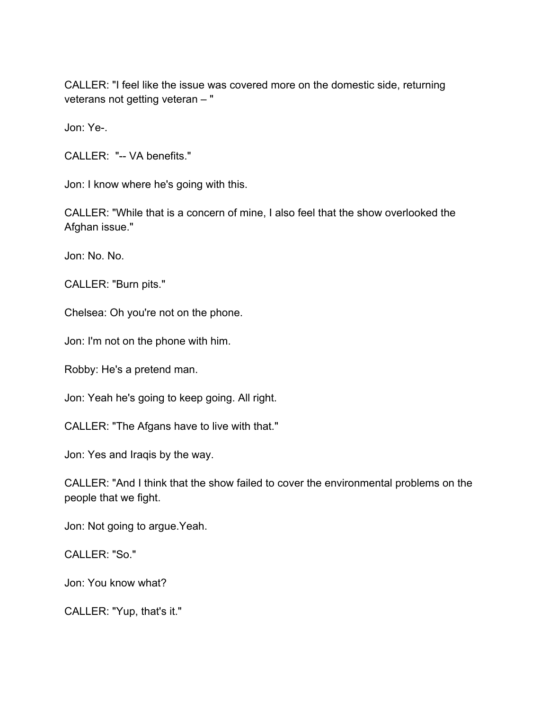CALLER: "I feel like the issue was covered more on the domestic side, returning veterans not getting veteran – "

Jon: Ye-.

CALLER: "-- VA benefits."

Jon: I know where he's going with this.

CALLER: "While that is a concern of mine, I also feel that the show overlooked the Afghan issue."

Jon: No. No.

CALLER: "Burn pits."

Chelsea: Oh you're not on the phone.

Jon: I'm not on the phone with him.

Robby: He's a pretend man.

Jon: Yeah he's going to keep going. All right.

CALLER: "The Afgans have to live with that."

Jon: Yes and Iraqis by the way.

CALLER: "And I think that the show failed to cover the environmental problems on the people that we fight.

Jon: Not going to argue.Yeah.

CALLER: "So."

Jon: You know what?

CALLER: "Yup, that's it."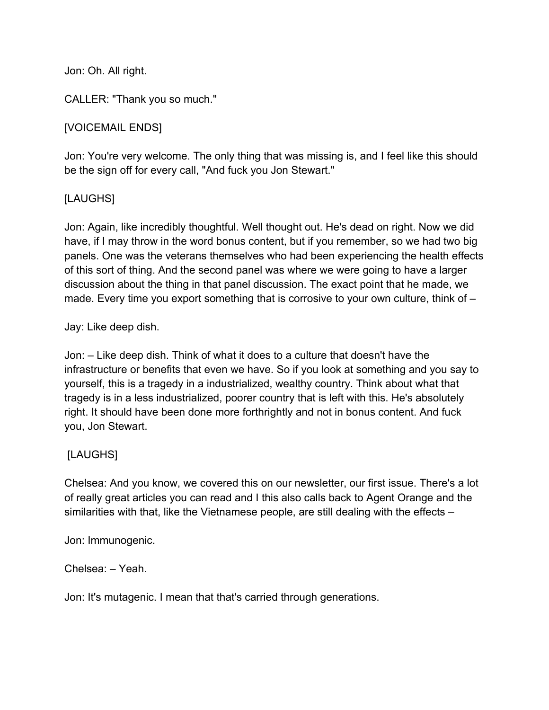Jon: Oh. All right.

CALLER: "Thank you so much."

## [VOICEMAIL ENDS]

Jon: You're very welcome. The only thing that was missing is, and I feel like this should be the sign off for every call, "And fuck you Jon Stewart."

## [LAUGHS]

Jon: Again, like incredibly thoughtful. Well thought out. He's dead on right. Now we did have, if I may throw in the word bonus content, but if you remember, so we had two big panels. One was the veterans themselves who had been experiencing the health effects of this sort of thing. And the second panel was where we were going to have a larger discussion about the thing in that panel discussion. The exact point that he made, we made. Every time you export something that is corrosive to your own culture, think of –

### Jay: Like deep dish.

Jon: – Like deep dish. Think of what it does to a culture that doesn't have the infrastructure or benefits that even we have. So if you look at something and you say to yourself, this is a tragedy in a industrialized, wealthy country. Think about what that tragedy is in a less industrialized, poorer country that is left with this. He's absolutely right. It should have been done more forthrightly and not in bonus content. And fuck you, Jon Stewart.

### [LAUGHS]

Chelsea: And you know, we covered this on our newsletter, our first issue. There's a lot of really great articles you can read and I this also calls back to Agent Orange and the similarities with that, like the Vietnamese people, are still dealing with the effects –

Jon: Immunogenic.

Chelsea: – Yeah.

Jon: It's mutagenic. I mean that that's carried through generations.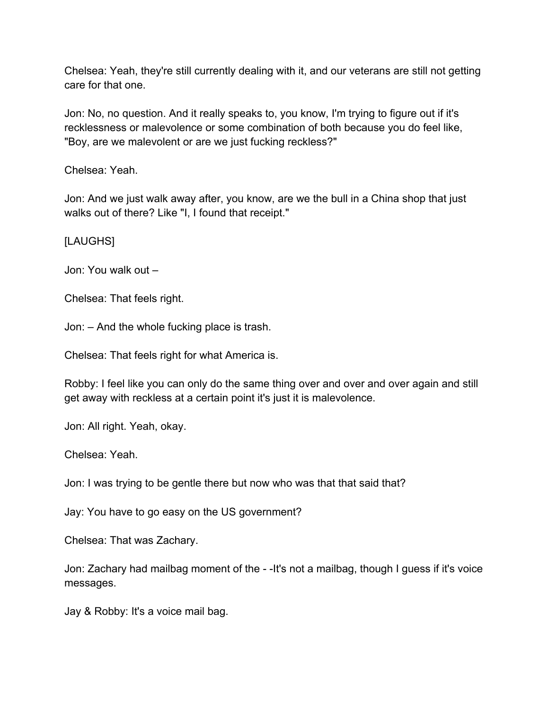Chelsea: Yeah, they're still currently dealing with it, and our veterans are still not getting care for that one.

Jon: No, no question. And it really speaks to, you know, I'm trying to figure out if it's recklessness or malevolence or some combination of both because you do feel like, "Boy, are we malevolent or are we just fucking reckless?"

Chelsea: Yeah.

Jon: And we just walk away after, you know, are we the bull in a China shop that just walks out of there? Like "I, I found that receipt."

[LAUGHS]

Jon: You walk out –

Chelsea: That feels right.

Jon: – And the whole fucking place is trash.

Chelsea: That feels right for what America is.

Robby: I feel like you can only do the same thing over and over and over again and still get away with reckless at a certain point it's just it is malevolence.

Jon: All right. Yeah, okay.

Chelsea: Yeah.

Jon: I was trying to be gentle there but now who was that that said that?

Jay: You have to go easy on the US government?

Chelsea: That was Zachary.

Jon: Zachary had mailbag moment of the - -It's not a mailbag, though I guess if it's voice messages.

Jay & Robby: It's a voice mail bag.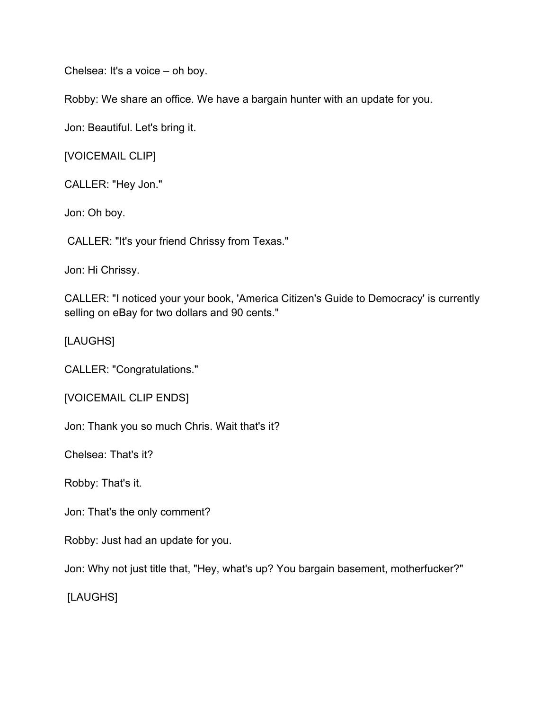Chelsea: It's a voice – oh boy.

Robby: We share an office. We have a bargain hunter with an update for you.

Jon: Beautiful. Let's bring it.

[VOICEMAIL CLIP]

CALLER: "Hey Jon."

Jon: Oh boy.

CALLER: "It's your friend Chrissy from Texas."

Jon: Hi Chrissy.

CALLER: "I noticed your your book, 'America Citizen's Guide to Democracy' is currently selling on eBay for two dollars and 90 cents."

[LAUGHS]

CALLER: "Congratulations."

[VOICEMAIL CLIP ENDS]

Jon: Thank you so much Chris. Wait that's it?

Chelsea: That's it?

Robby: That's it.

Jon: That's the only comment?

Robby: Just had an update for you.

Jon: Why not just title that, "Hey, what's up? You bargain basement, motherfucker?"

[LAUGHS]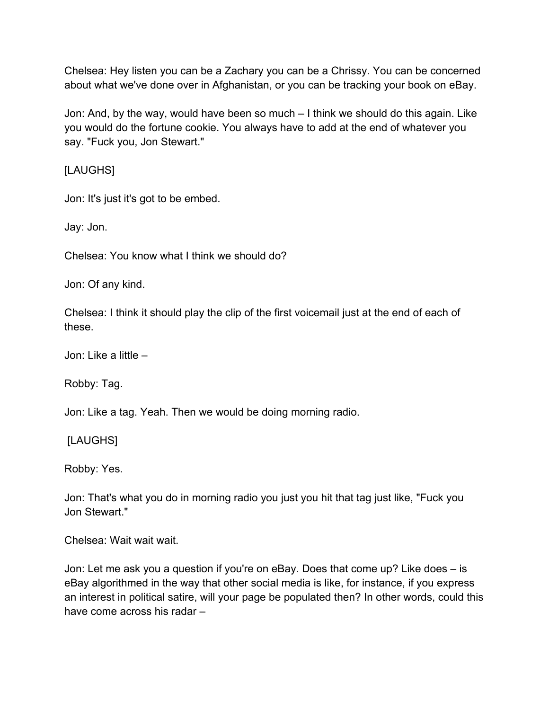Chelsea: Hey listen you can be a Zachary you can be a Chrissy. You can be concerned about what we've done over in Afghanistan, or you can be tracking your book on eBay.

Jon: And, by the way, would have been so much – I think we should do this again. Like you would do the fortune cookie. You always have to add at the end of whatever you say. "Fuck you, Jon Stewart."

[LAUGHS]

Jon: It's just it's got to be embed.

Jay: Jon.

Chelsea: You know what I think we should do?

Jon: Of any kind.

Chelsea: I think it should play the clip of the first voicemail just at the end of each of these.

Jon: Like a little –

Robby: Tag.

Jon: Like a tag. Yeah. Then we would be doing morning radio.

[LAUGHS]

Robby: Yes.

Jon: That's what you do in morning radio you just you hit that tag just like, "Fuck you Jon Stewart."

Chelsea: Wait wait wait.

Jon: Let me ask you a question if you're on eBay. Does that come up? Like does – is eBay algorithmed in the way that other social media is like, for instance, if you express an interest in political satire, will your page be populated then? In other words, could this have come across his radar –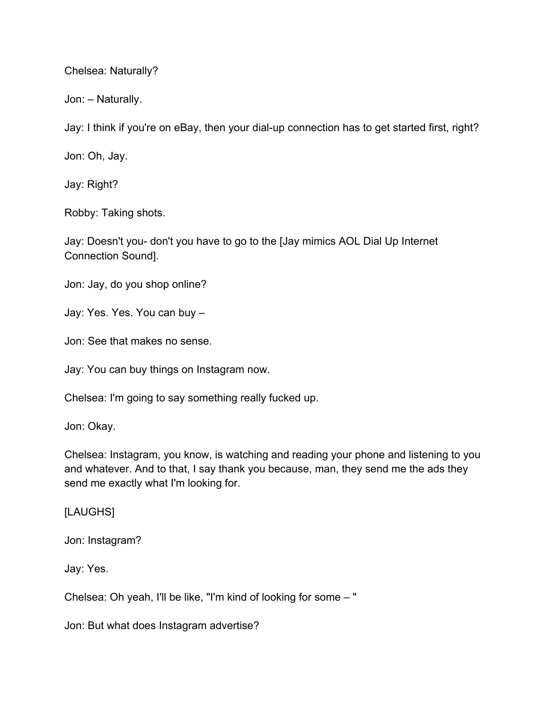Chelsea: Naturally?

Jon: – Naturally.

Jay: I think if you're on eBay, then your dial-up connection has to get started first, right?

Jon: Oh, Jay.

Jay: Right?

Robby: Taking shots.

Jay: Doesn't you- don't you have to go to the [Jay mimics AOL Dial Up Internet Connection Sound].

Jon: Jay, do you shop online?

Jay: Yes. Yes. You can buy –

Jon: See that makes no sense.

Jay: You can buy things on Instagram now.

Chelsea: I'm going to say something really fucked up.

Jon: Okay.

Chelsea: Instagram, you know, is watching and reading your phone and listening to you and whatever. And to that, I say thank you because, man, they send me the ads they send me exactly what I'm looking for.

[LAUGHS]

Jon: Instagram?

Jay: Yes.

Chelsea: Oh yeah, I'll be like, "I'm kind of looking for some – "

Jon: But what does Instagram advertise?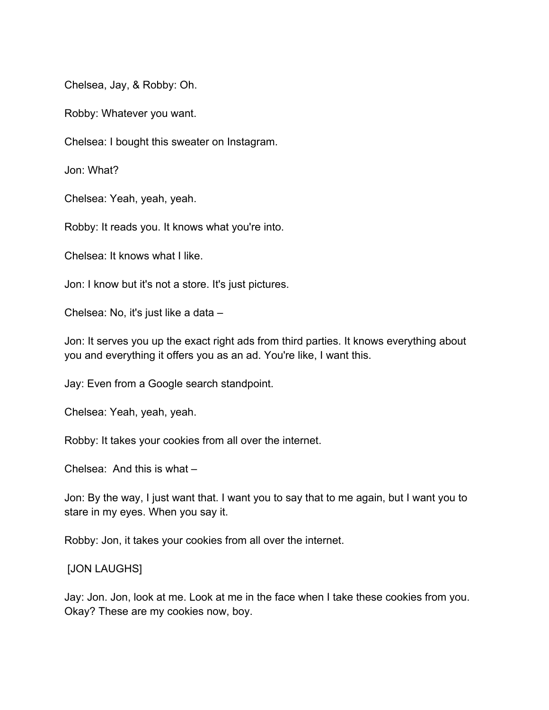Chelsea, Jay, & Robby: Oh.

Robby: Whatever you want.

Chelsea: I bought this sweater on Instagram.

Jon: What?

Chelsea: Yeah, yeah, yeah.

Robby: It reads you. It knows what you're into.

Chelsea: It knows what I like.

Jon: I know but it's not a store. It's just pictures.

Chelsea: No, it's just like a data –

Jon: It serves you up the exact right ads from third parties. It knows everything about you and everything it offers you as an ad. You're like, I want this.

Jay: Even from a Google search standpoint.

Chelsea: Yeah, yeah, yeah.

Robby: It takes your cookies from all over the internet.

Chelsea: And this is what –

Jon: By the way, I just want that. I want you to say that to me again, but I want you to stare in my eyes. When you say it.

Robby: Jon, it takes your cookies from all over the internet.

#### [JON LAUGHS]

Jay: Jon. Jon, look at me. Look at me in the face when I take these cookies from you. Okay? These are my cookies now, boy.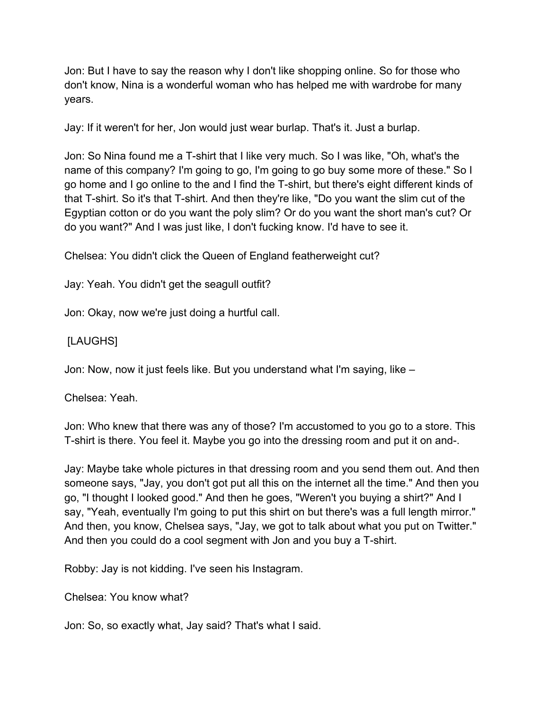Jon: But I have to say the reason why I don't like shopping online. So for those who don't know, Nina is a wonderful woman who has helped me with wardrobe for many years.

Jay: If it weren't for her, Jon would just wear burlap. That's it. Just a burlap.

Jon: So Nina found me a T-shirt that I like very much. So I was like, "Oh, what's the name of this company? I'm going to go, I'm going to go buy some more of these." So I go home and I go online to the and I find the T-shirt, but there's eight different kinds of that T-shirt. So it's that T-shirt. And then they're like, "Do you want the slim cut of the Egyptian cotton or do you want the poly slim? Or do you want the short man's cut? Or do you want?" And I was just like, I don't fucking know. I'd have to see it.

Chelsea: You didn't click the Queen of England featherweight cut?

Jay: Yeah. You didn't get the seagull outfit?

Jon: Okay, now we're just doing a hurtful call.

### [LAUGHS]

Jon: Now, now it just feels like. But you understand what I'm saying, like –

Chelsea: Yeah.

Jon: Who knew that there was any of those? I'm accustomed to you go to a store. This T-shirt is there. You feel it. Maybe you go into the dressing room and put it on and-.

Jay: Maybe take whole pictures in that dressing room and you send them out. And then someone says, "Jay, you don't got put all this on the internet all the time." And then you go, "I thought I looked good." And then he goes, "Weren't you buying a shirt?" And I say, "Yeah, eventually I'm going to put this shirt on but there's was a full length mirror." And then, you know, Chelsea says, "Jay, we got to talk about what you put on Twitter." And then you could do a cool segment with Jon and you buy a T-shirt.

Robby: Jay is not kidding. I've seen his Instagram.

Chelsea: You know what?

Jon: So, so exactly what, Jay said? That's what I said.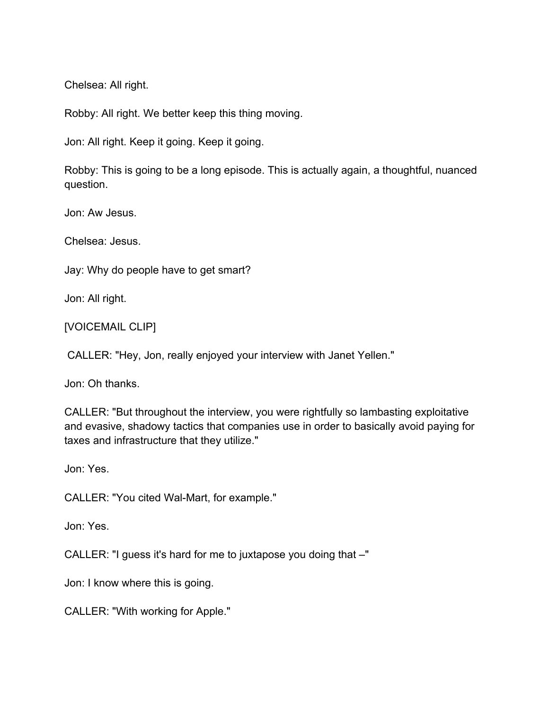Chelsea: All right.

Robby: All right. We better keep this thing moving.

Jon: All right. Keep it going. Keep it going.

Robby: This is going to be a long episode. This is actually again, a thoughtful, nuanced question.

Jon: Aw Jesus.

Chelsea: Jesus.

Jay: Why do people have to get smart?

Jon: All right.

[VOICEMAIL CLIP]

CALLER: "Hey, Jon, really enjoyed your interview with Janet Yellen."

Jon: Oh thanks.

CALLER: "But throughout the interview, you were rightfully so lambasting exploitative and evasive, shadowy tactics that companies use in order to basically avoid paying for taxes and infrastructure that they utilize."

Jon: Yes.

CALLER: "You cited Wal-Mart, for example."

Jon: Yes.

CALLER: "I guess it's hard for me to juxtapose you doing that –"

Jon: I know where this is going.

CALLER: "With working for Apple."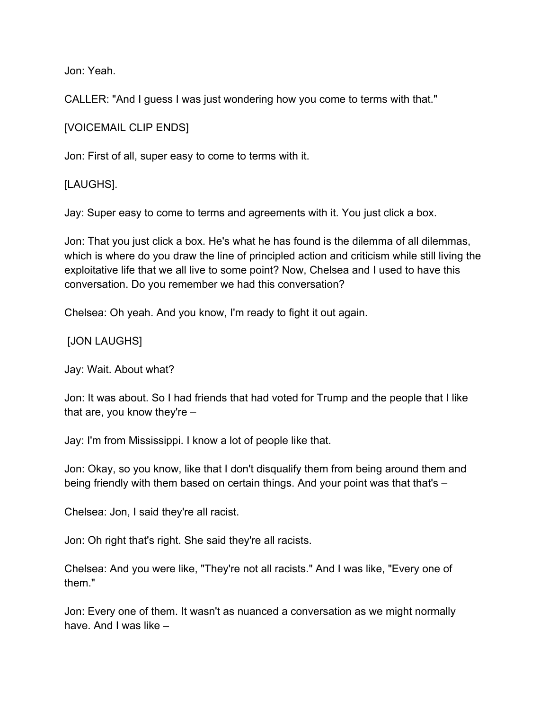Jon: Yeah.

CALLER: "And I guess I was just wondering how you come to terms with that."

[VOICEMAIL CLIP ENDS]

Jon: First of all, super easy to come to terms with it.

[LAUGHS].

Jay: Super easy to come to terms and agreements with it. You just click a box.

Jon: That you just click a box. He's what he has found is the dilemma of all dilemmas, which is where do you draw the line of principled action and criticism while still living the exploitative life that we all live to some point? Now, Chelsea and I used to have this conversation. Do you remember we had this conversation?

Chelsea: Oh yeah. And you know, I'm ready to fight it out again.

[JON LAUGHS]

Jay: Wait. About what?

Jon: It was about. So I had friends that had voted for Trump and the people that I like that are, you know they're –

Jay: I'm from Mississippi. I know a lot of people like that.

Jon: Okay, so you know, like that I don't disqualify them from being around them and being friendly with them based on certain things. And your point was that that's -

Chelsea: Jon, I said they're all racist.

Jon: Oh right that's right. She said they're all racists.

Chelsea: And you were like, "They're not all racists." And I was like, "Every one of them."

Jon: Every one of them. It wasn't as nuanced a conversation as we might normally have. And I was like –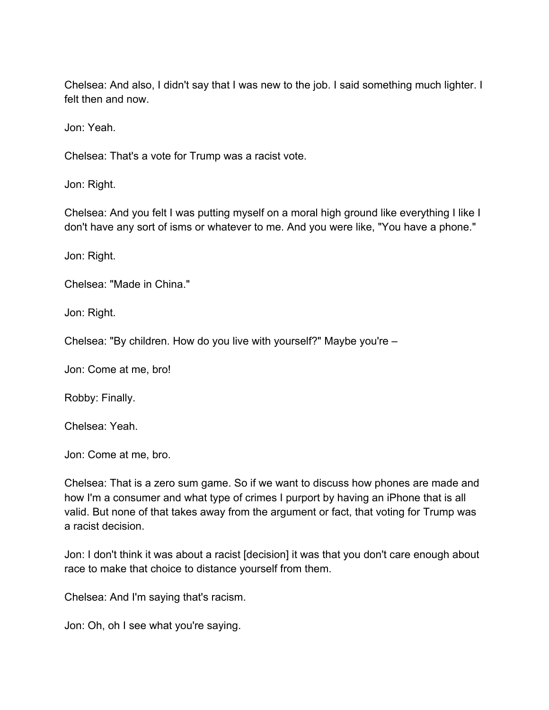Chelsea: And also, I didn't say that I was new to the job. I said something much lighter. I felt then and now.

Jon: Yeah.

Chelsea: That's a vote for Trump was a racist vote.

Jon: Right.

Chelsea: And you felt I was putting myself on a moral high ground like everything I like I don't have any sort of isms or whatever to me. And you were like, "You have a phone."

Jon: Right.

Chelsea: "Made in China."

Jon: Right.

Chelsea: "By children. How do you live with yourself?" Maybe you're –

Jon: Come at me, bro!

Robby: Finally.

Chelsea: Yeah.

Jon: Come at me, bro.

Chelsea: That is a zero sum game. So if we want to discuss how phones are made and how I'm a consumer and what type of crimes I purport by having an iPhone that is all valid. But none of that takes away from the argument or fact, that voting for Trump was a racist decision.

Jon: I don't think it was about a racist [decision] it was that you don't care enough about race to make that choice to distance yourself from them.

Chelsea: And I'm saying that's racism.

Jon: Oh, oh I see what you're saying.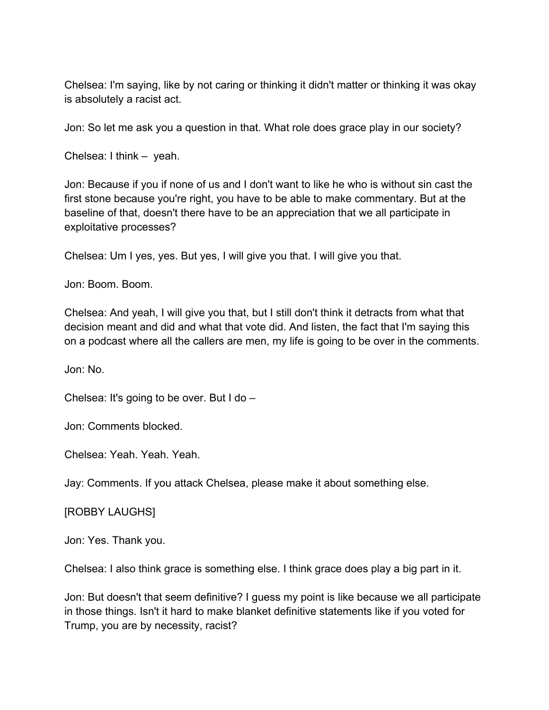Chelsea: I'm saying, like by not caring or thinking it didn't matter or thinking it was okay is absolutely a racist act.

Jon: So let me ask you a question in that. What role does grace play in our society?

Chelsea: I think – yeah.

Jon: Because if you if none of us and I don't want to like he who is without sin cast the first stone because you're right, you have to be able to make commentary. But at the baseline of that, doesn't there have to be an appreciation that we all participate in exploitative processes?

Chelsea: Um I yes, yes. But yes, I will give you that. I will give you that.

Jon: Boom. Boom.

Chelsea: And yeah, I will give you that, but I still don't think it detracts from what that decision meant and did and what that vote did. And listen, the fact that I'm saying this on a podcast where all the callers are men, my life is going to be over in the comments.

Jon: No.

Chelsea: It's going to be over. But I do –

Jon: Comments blocked.

Chelsea: Yeah. Yeah. Yeah.

Jay: Comments. If you attack Chelsea, please make it about something else.

[ROBBY LAUGHS]

Jon: Yes. Thank you.

Chelsea: I also think grace is something else. I think grace does play a big part in it.

Jon: But doesn't that seem definitive? I guess my point is like because we all participate in those things. Isn't it hard to make blanket definitive statements like if you voted for Trump, you are by necessity, racist?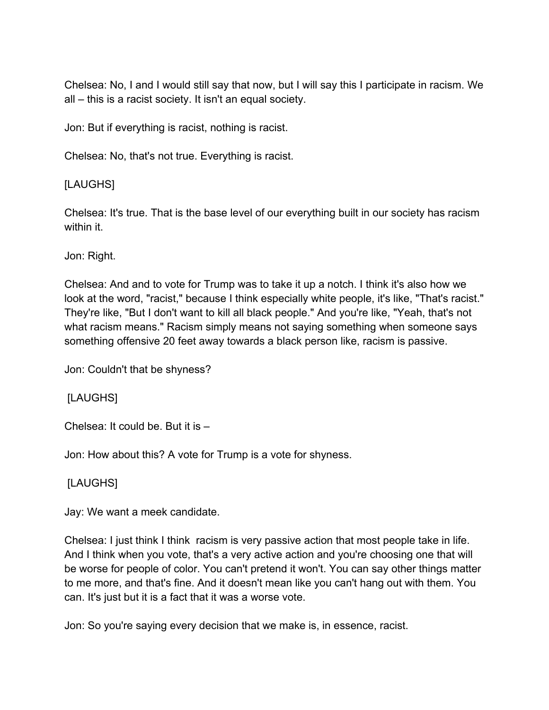Chelsea: No, I and I would still say that now, but I will say this I participate in racism. We all – this is a racist society. It isn't an equal society.

Jon: But if everything is racist, nothing is racist.

Chelsea: No, that's not true. Everything is racist.

### [LAUGHS]

Chelsea: It's true. That is the base level of our everything built in our society has racism within it.

Jon: Right.

Chelsea: And and to vote for Trump was to take it up a notch. I think it's also how we look at the word, "racist," because I think especially white people, it's like, "That's racist." They're like, "But I don't want to kill all black people." And you're like, "Yeah, that's not what racism means." Racism simply means not saying something when someone says something offensive 20 feet away towards a black person like, racism is passive.

Jon: Couldn't that be shyness?

[LAUGHS]

Chelsea: It could be. But it is –

Jon: How about this? A vote for Trump is a vote for shyness.

### [LAUGHS]

Jay: We want a meek candidate.

Chelsea: I just think I think racism is very passive action that most people take in life. And I think when you vote, that's a very active action and you're choosing one that will be worse for people of color. You can't pretend it won't. You can say other things matter to me more, and that's fine. And it doesn't mean like you can't hang out with them. You can. It's just but it is a fact that it was a worse vote.

Jon: So you're saying every decision that we make is, in essence, racist.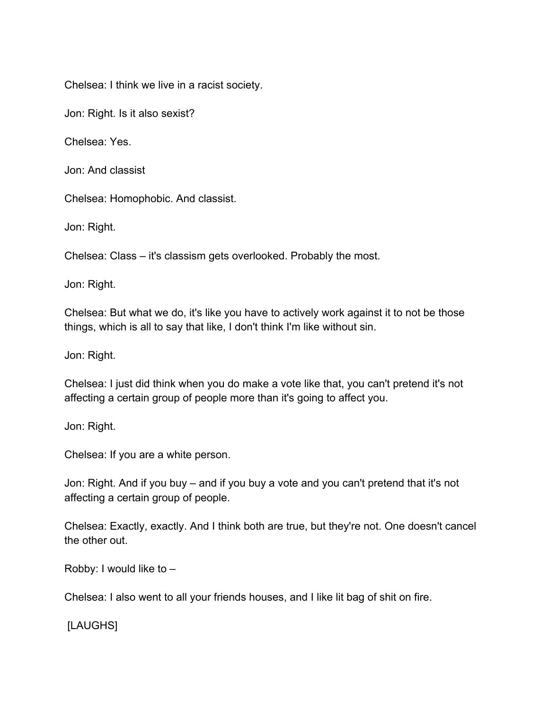Chelsea: I think we live in a racist society.

Jon: Right. Is it also sexist?

Chelsea: Yes.

Jon: And classist

Chelsea: Homophobic. And classist.

Jon: Right.

Chelsea: Class – it's classism gets overlooked. Probably the most.

Jon: Right.

Chelsea: But what we do, it's like you have to actively work against it to not be those things, which is all to say that like, I don't think I'm like without sin.

Jon: Right.

Chelsea: I just did think when you do make a vote like that, you can't pretend it's not affecting a certain group of people more than it's going to affect you.

Jon: Right.

Chelsea: If you are a white person.

Jon: Right. And if you buy – and if you buy a vote and you can't pretend that it's not affecting a certain group of people.

Chelsea: Exactly, exactly. And I think both are true, but they're not. One doesn't cancel the other out.

Robby: I would like to –

Chelsea: I also went to all your friends houses, and I like lit bag of shit on fire.

[LAUGHS]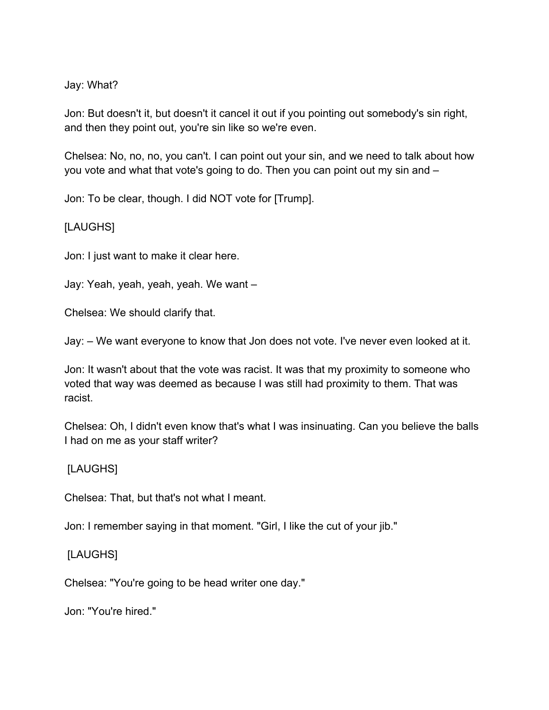#### Jay: What?

Jon: But doesn't it, but doesn't it cancel it out if you pointing out somebody's sin right, and then they point out, you're sin like so we're even.

Chelsea: No, no, no, you can't. I can point out your sin, and we need to talk about how you vote and what that vote's going to do. Then you can point out my sin and –

Jon: To be clear, though. I did NOT vote for [Trump].

### [LAUGHS]

Jon: I just want to make it clear here.

Jay: Yeah, yeah, yeah, yeah. We want –

Chelsea: We should clarify that.

Jay: – We want everyone to know that Jon does not vote. I've never even looked at it.

Jon: It wasn't about that the vote was racist. It was that my proximity to someone who voted that way was deemed as because I was still had proximity to them. That was racist.

Chelsea: Oh, I didn't even know that's what I was insinuating. Can you believe the balls I had on me as your staff writer?

### [LAUGHS]

Chelsea: That, but that's not what I meant.

Jon: I remember saying in that moment. "Girl, I like the cut of your jib."

### [LAUGHS]

Chelsea: "You're going to be head writer one day."

Jon: "You're hired."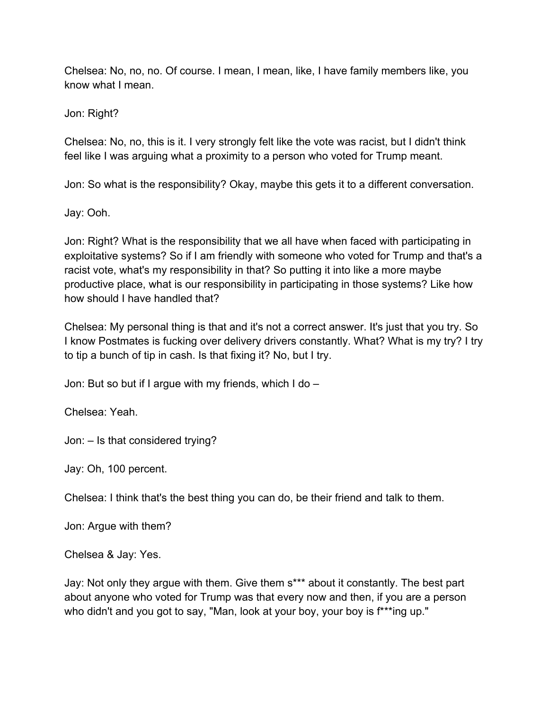Chelsea: No, no, no. Of course. I mean, I mean, like, I have family members like, you know what I mean.

Jon: Right?

Chelsea: No, no, this is it. I very strongly felt like the vote was racist, but I didn't think feel like I was arguing what a proximity to a person who voted for Trump meant.

Jon: So what is the responsibility? Okay, maybe this gets it to a different conversation.

Jay: Ooh.

Jon: Right? What is the responsibility that we all have when faced with participating in exploitative systems? So if I am friendly with someone who voted for Trump and that's a racist vote, what's my responsibility in that? So putting it into like a more maybe productive place, what is our responsibility in participating in those systems? Like how how should I have handled that?

Chelsea: My personal thing is that and it's not a correct answer. It's just that you try. So I know Postmates is fucking over delivery drivers constantly. What? What is my try? I try to tip a bunch of tip in cash. Is that fixing it? No, but I try.

Jon: But so but if I argue with my friends, which I do –

Chelsea: Yeah.

Jon: – Is that considered trying?

Jay: Oh, 100 percent.

Chelsea: I think that's the best thing you can do, be their friend and talk to them.

Jon: Argue with them?

Chelsea & Jay: Yes.

Jay: Not only they argue with them. Give them s\*\*\* about it constantly. The best part about anyone who voted for Trump was that every now and then, if you are a person who didn't and you got to say, "Man, look at your boy, your boy is  $f^{**}$ ing up."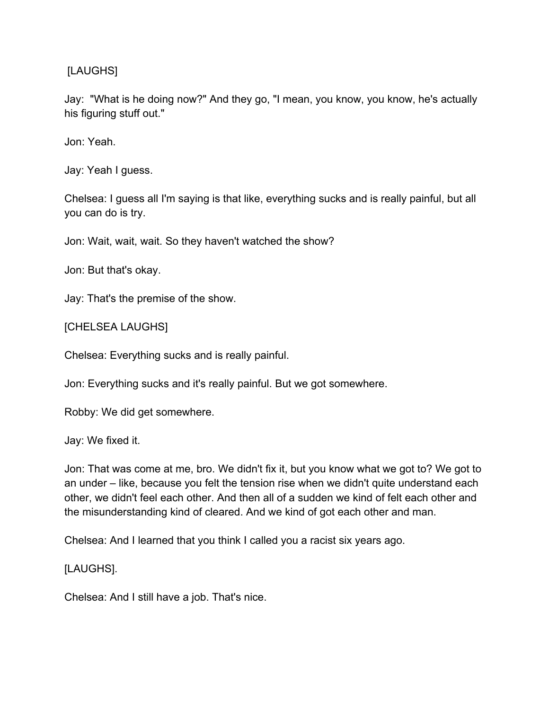### [LAUGHS]

Jay: "What is he doing now?" And they go, "I mean, you know, you know, he's actually his figuring stuff out."

Jon: Yeah.

Jay: Yeah I guess.

Chelsea: I guess all I'm saying is that like, everything sucks and is really painful, but all you can do is try.

Jon: Wait, wait, wait. So they haven't watched the show?

Jon: But that's okay.

Jay: That's the premise of the show.

[CHELSEA LAUGHS]

Chelsea: Everything sucks and is really painful.

Jon: Everything sucks and it's really painful. But we got somewhere.

Robby: We did get somewhere.

Jay: We fixed it.

Jon: That was come at me, bro. We didn't fix it, but you know what we got to? We got to an under – like, because you felt the tension rise when we didn't quite understand each other, we didn't feel each other. And then all of a sudden we kind of felt each other and the misunderstanding kind of cleared. And we kind of got each other and man.

Chelsea: And I learned that you think I called you a racist six years ago.

[LAUGHS].

Chelsea: And I still have a job. That's nice.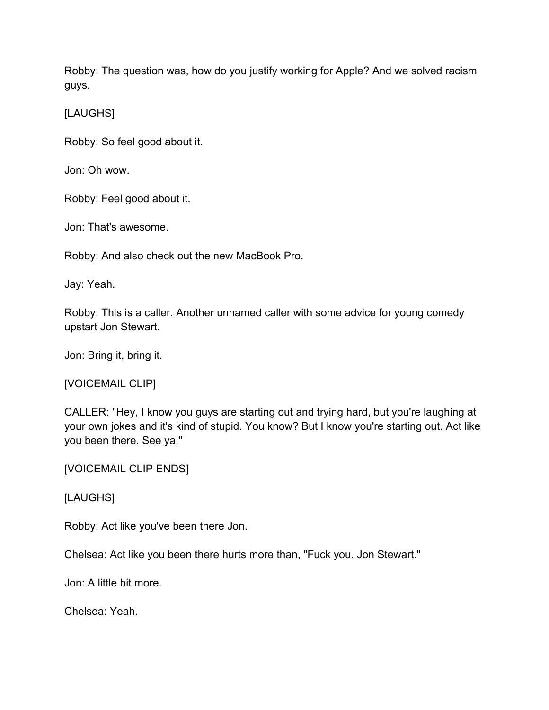Robby: The question was, how do you justify working for Apple? And we solved racism guys.

[LAUGHS]

Robby: So feel good about it.

Jon: Oh wow.

Robby: Feel good about it.

Jon: That's awesome.

Robby: And also check out the new MacBook Pro.

Jay: Yeah.

Robby: This is a caller. Another unnamed caller with some advice for young comedy upstart Jon Stewart.

Jon: Bring it, bring it.

[VOICEMAIL CLIP]

CALLER: "Hey, I know you guys are starting out and trying hard, but you're laughing at your own jokes and it's kind of stupid. You know? But I know you're starting out. Act like you been there. See ya."

[VOICEMAIL CLIP ENDS]

[LAUGHS]

Robby: Act like you've been there Jon.

Chelsea: Act like you been there hurts more than, "Fuck you, Jon Stewart."

Jon: A little bit more.

Chelsea: Yeah.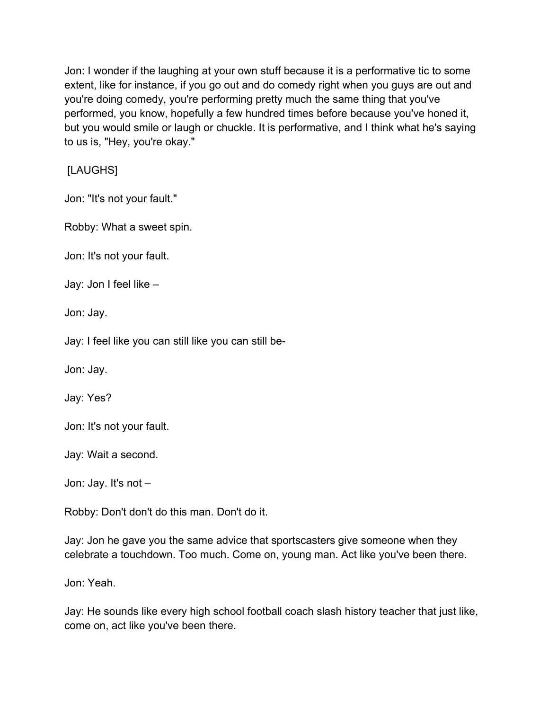Jon: I wonder if the laughing at your own stuff because it is a performative tic to some extent, like for instance, if you go out and do comedy right when you guys are out and you're doing comedy, you're performing pretty much the same thing that you've performed, you know, hopefully a few hundred times before because you've honed it, but you would smile or laugh or chuckle. It is performative, and I think what he's saying to us is, "Hey, you're okay."

[LAUGHS]

Jon: "It's not your fault."

Robby: What a sweet spin.

Jon: It's not your fault.

Jay: Jon I feel like –

Jon: Jay.

Jay: I feel like you can still like you can still be-

Jon: Jay.

Jay: Yes?

Jon: It's not your fault.

Jay: Wait a second.

Jon: Jay. It's not –

Robby: Don't don't do this man. Don't do it.

Jay: Jon he gave you the same advice that sportscasters give someone when they celebrate a touchdown. Too much. Come on, young man. Act like you've been there.

Jon: Yeah.

Jay: He sounds like every high school football coach slash history teacher that just like, come on, act like you've been there.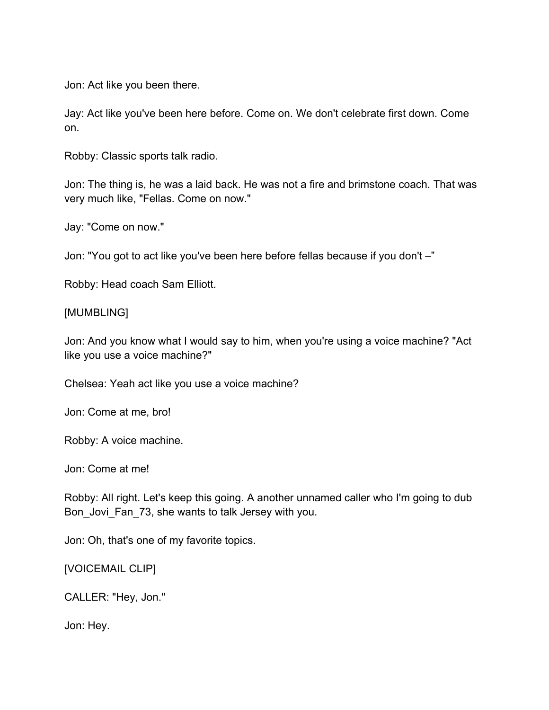Jon: Act like you been there.

Jay: Act like you've been here before. Come on. We don't celebrate first down. Come on.

Robby: Classic sports talk radio.

Jon: The thing is, he was a laid back. He was not a fire and brimstone coach. That was very much like, "Fellas. Come on now."

Jay: "Come on now."

Jon: "You got to act like you've been here before fellas because if you don't –"

Robby: Head coach Sam Elliott.

#### [MUMBLING]

Jon: And you know what I would say to him, when you're using a voice machine? "Act like you use a voice machine?"

Chelsea: Yeah act like you use a voice machine?

Jon: Come at me, bro!

Robby: A voice machine.

Jon: Come at me!

Robby: All right. Let's keep this going. A another unnamed caller who I'm going to dub Bon Jovi Fan 73, she wants to talk Jersey with you.

Jon: Oh, that's one of my favorite topics.

[VOICEMAIL CLIP]

CALLER: "Hey, Jon."

Jon: Hey.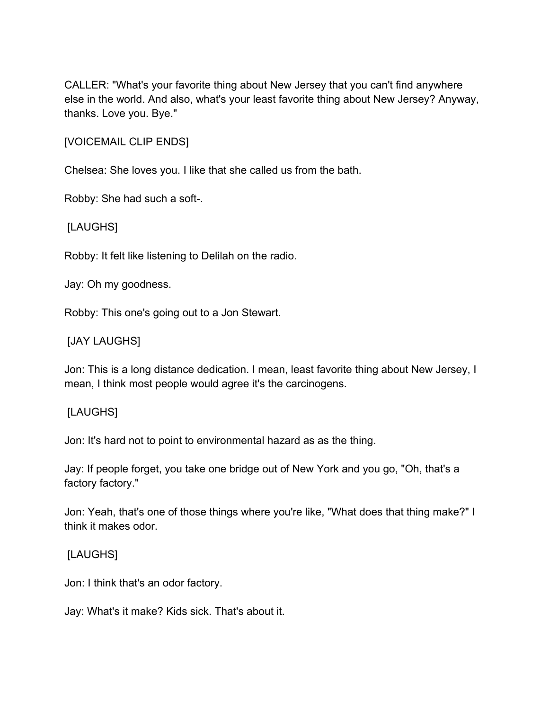CALLER: "What's your favorite thing about New Jersey that you can't find anywhere else in the world. And also, what's your least favorite thing about New Jersey? Anyway, thanks. Love you. Bye."

[VOICEMAIL CLIP ENDS]

Chelsea: She loves you. I like that she called us from the bath.

Robby: She had such a soft-.

[LAUGHS]

Robby: It felt like listening to Delilah on the radio.

Jay: Oh my goodness.

Robby: This one's going out to a Jon Stewart.

### [JAY LAUGHS]

Jon: This is a long distance dedication. I mean, least favorite thing about New Jersey, I mean, I think most people would agree it's the carcinogens.

#### [LAUGHS]

Jon: It's hard not to point to environmental hazard as as the thing.

Jay: If people forget, you take one bridge out of New York and you go, "Oh, that's a factory factory."

Jon: Yeah, that's one of those things where you're like, "What does that thing make?" I think it makes odor.

### [LAUGHS]

Jon: I think that's an odor factory.

Jay: What's it make? Kids sick. That's about it.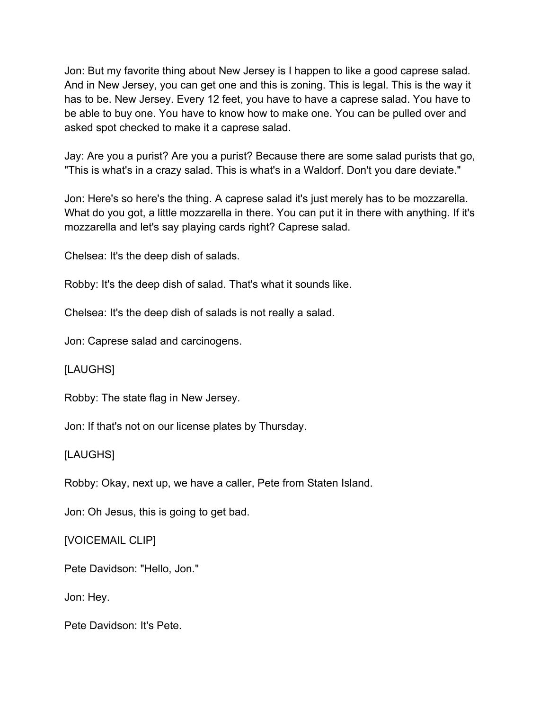Jon: But my favorite thing about New Jersey is I happen to like a good caprese salad. And in New Jersey, you can get one and this is zoning. This is legal. This is the way it has to be. New Jersey. Every 12 feet, you have to have a caprese salad. You have to be able to buy one. You have to know how to make one. You can be pulled over and asked spot checked to make it a caprese salad.

Jay: Are you a purist? Are you a purist? Because there are some salad purists that go, "This is what's in a crazy salad. This is what's in a Waldorf. Don't you dare deviate."

Jon: Here's so here's the thing. A caprese salad it's just merely has to be mozzarella. What do you got, a little mozzarella in there. You can put it in there with anything. If it's mozzarella and let's say playing cards right? Caprese salad.

Chelsea: It's the deep dish of salads.

Robby: It's the deep dish of salad. That's what it sounds like.

Chelsea: It's the deep dish of salads is not really a salad.

Jon: Caprese salad and carcinogens.

[LAUGHS]

Robby: The state flag in New Jersey.

Jon: If that's not on our license plates by Thursday.

[LAUGHS]

Robby: Okay, next up, we have a caller, Pete from Staten Island.

Jon: Oh Jesus, this is going to get bad.

[VOICEMAIL CLIP]

Pete Davidson: "Hello, Jon."

Jon: Hey.

Pete Davidson: It's Pete.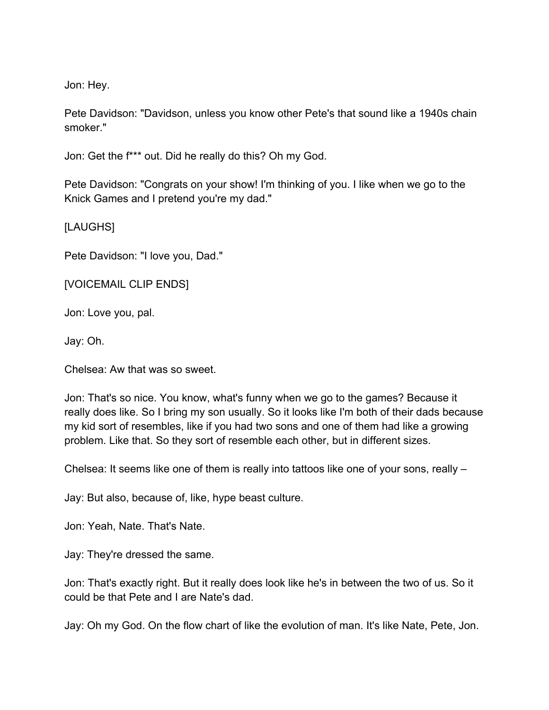Jon: Hey.

Pete Davidson: "Davidson, unless you know other Pete's that sound like a 1940s chain smoker."

Jon: Get the f\*\*\* out. Did he really do this? Oh my God.

Pete Davidson: "Congrats on your show! I'm thinking of you. I like when we go to the Knick Games and I pretend you're my dad."

[LAUGHS]

Pete Davidson: "I love you, Dad."

[VOICEMAIL CLIP ENDS]

Jon: Love you, pal.

Jay: Oh.

Chelsea: Aw that was so sweet.

Jon: That's so nice. You know, what's funny when we go to the games? Because it really does like. So I bring my son usually. So it looks like I'm both of their dads because my kid sort of resembles, like if you had two sons and one of them had like a growing problem. Like that. So they sort of resemble each other, but in different sizes.

Chelsea: It seems like one of them is really into tattoos like one of your sons, really –

Jay: But also, because of, like, hype beast culture.

Jon: Yeah, Nate. That's Nate.

Jay: They're dressed the same.

Jon: That's exactly right. But it really does look like he's in between the two of us. So it could be that Pete and I are Nate's dad.

Jay: Oh my God. On the flow chart of like the evolution of man. It's like Nate, Pete, Jon.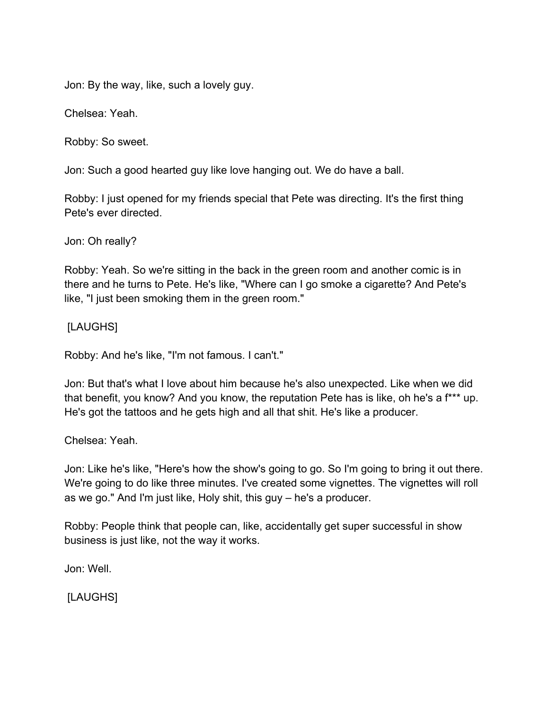Jon: By the way, like, such a lovely guy.

Chelsea: Yeah.

Robby: So sweet.

Jon: Such a good hearted guy like love hanging out. We do have a ball.

Robby: I just opened for my friends special that Pete was directing. It's the first thing Pete's ever directed.

Jon: Oh really?

Robby: Yeah. So we're sitting in the back in the green room and another comic is in there and he turns to Pete. He's like, "Where can I go smoke a cigarette? And Pete's like, "I just been smoking them in the green room."

[LAUGHS]

Robby: And he's like, "I'm not famous. I can't."

Jon: But that's what I love about him because he's also unexpected. Like when we did that benefit, you know? And you know, the reputation Pete has is like, oh he's a f\*\*\* up. He's got the tattoos and he gets high and all that shit. He's like a producer.

Chelsea: Yeah.

Jon: Like he's like, "Here's how the show's going to go. So I'm going to bring it out there. We're going to do like three minutes. I've created some vignettes. The vignettes will roll as we go." And I'm just like, Holy shit, this guy – he's a producer.

Robby: People think that people can, like, accidentally get super successful in show business is just like, not the way it works.

Jon: Well.

[LAUGHS]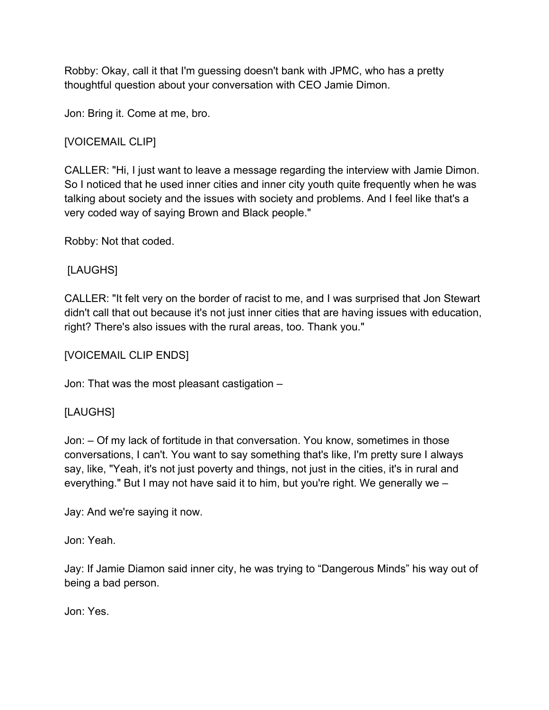Robby: Okay, call it that I'm guessing doesn't bank with JPMC, who has a pretty thoughtful question about your conversation with CEO Jamie Dimon.

Jon: Bring it. Come at me, bro.

# [VOICEMAIL CLIP]

CALLER: "Hi, I just want to leave a message regarding the interview with Jamie Dimon. So I noticed that he used inner cities and inner city youth quite frequently when he was talking about society and the issues with society and problems. And I feel like that's a very coded way of saying Brown and Black people."

Robby: Not that coded.

# [LAUGHS]

CALLER: "It felt very on the border of racist to me, and I was surprised that Jon Stewart didn't call that out because it's not just inner cities that are having issues with education, right? There's also issues with the rural areas, too. Thank you."

[VOICEMAIL CLIP ENDS]

Jon: That was the most pleasant castigation –

## [LAUGHS]

Jon: – Of my lack of fortitude in that conversation. You know, sometimes in those conversations, I can't. You want to say something that's like, I'm pretty sure I always say, like, "Yeah, it's not just poverty and things, not just in the cities, it's in rural and everything." But I may not have said it to him, but you're right. We generally we –

Jay: And we're saying it now.

Jon: Yeah.

Jay: If Jamie Diamon said inner city, he was trying to "Dangerous Minds" his way out of being a bad person.

Jon: Yes.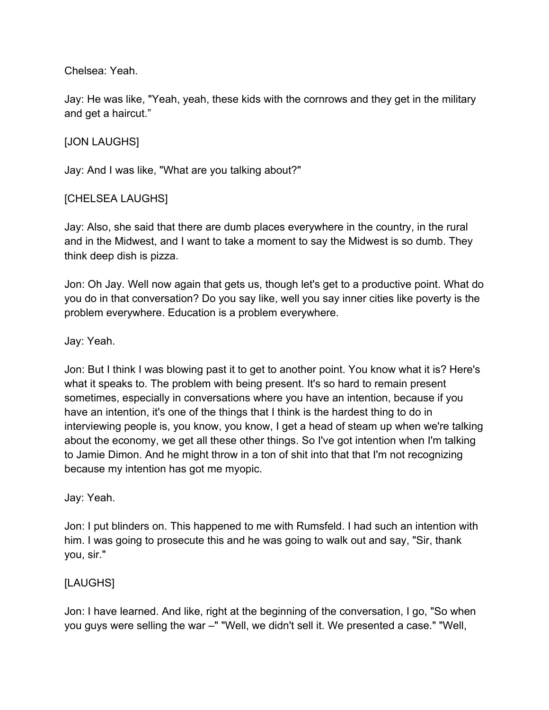### Chelsea: Yeah.

Jay: He was like, "Yeah, yeah, these kids with the cornrows and they get in the military and get a haircut."

## [JON LAUGHS]

Jay: And I was like, "What are you talking about?"

### [CHELSEA LAUGHS]

Jay: Also, she said that there are dumb places everywhere in the country, in the rural and in the Midwest, and I want to take a moment to say the Midwest is so dumb. They think deep dish is pizza.

Jon: Oh Jay. Well now again that gets us, though let's get to a productive point. What do you do in that conversation? Do you say like, well you say inner cities like poverty is the problem everywhere. Education is a problem everywhere.

Jay: Yeah.

Jon: But I think I was blowing past it to get to another point. You know what it is? Here's what it speaks to. The problem with being present. It's so hard to remain present sometimes, especially in conversations where you have an intention, because if you have an intention, it's one of the things that I think is the hardest thing to do in interviewing people is, you know, you know, I get a head of steam up when we're talking about the economy, we get all these other things. So I've got intention when I'm talking to Jamie Dimon. And he might throw in a ton of shit into that that I'm not recognizing because my intention has got me myopic.

Jay: Yeah.

Jon: I put blinders on. This happened to me with Rumsfeld. I had such an intention with him. I was going to prosecute this and he was going to walk out and say, "Sir, thank you, sir."

#### [LAUGHS]

Jon: I have learned. And like, right at the beginning of the conversation, I go, "So when you guys were selling the war –" "Well, we didn't sell it. We presented a case." "Well,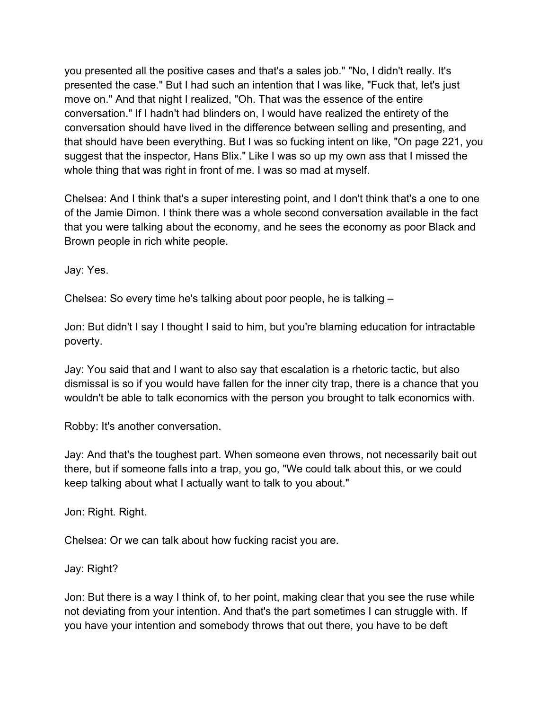you presented all the positive cases and that's a sales job." "No, I didn't really. It's presented the case." But I had such an intention that I was like, "Fuck that, let's just move on." And that night I realized, "Oh. That was the essence of the entire conversation." If I hadn't had blinders on, I would have realized the entirety of the conversation should have lived in the difference between selling and presenting, and that should have been everything. But I was so fucking intent on like, "On page 221, you suggest that the inspector, Hans Blix." Like I was so up my own ass that I missed the whole thing that was right in front of me. I was so mad at myself.

Chelsea: And I think that's a super interesting point, and I don't think that's a one to one of the Jamie Dimon. I think there was a whole second conversation available in the fact that you were talking about the economy, and he sees the economy as poor Black and Brown people in rich white people.

Jay: Yes.

Chelsea: So every time he's talking about poor people, he is talking –

Jon: But didn't I say I thought I said to him, but you're blaming education for intractable poverty.

Jay: You said that and I want to also say that escalation is a rhetoric tactic, but also dismissal is so if you would have fallen for the inner city trap, there is a chance that you wouldn't be able to talk economics with the person you brought to talk economics with.

Robby: It's another conversation.

Jay: And that's the toughest part. When someone even throws, not necessarily bait out there, but if someone falls into a trap, you go, "We could talk about this, or we could keep talking about what I actually want to talk to you about."

Jon: Right. Right.

Chelsea: Or we can talk about how fucking racist you are.

Jay: Right?

Jon: But there is a way I think of, to her point, making clear that you see the ruse while not deviating from your intention. And that's the part sometimes I can struggle with. If you have your intention and somebody throws that out there, you have to be deft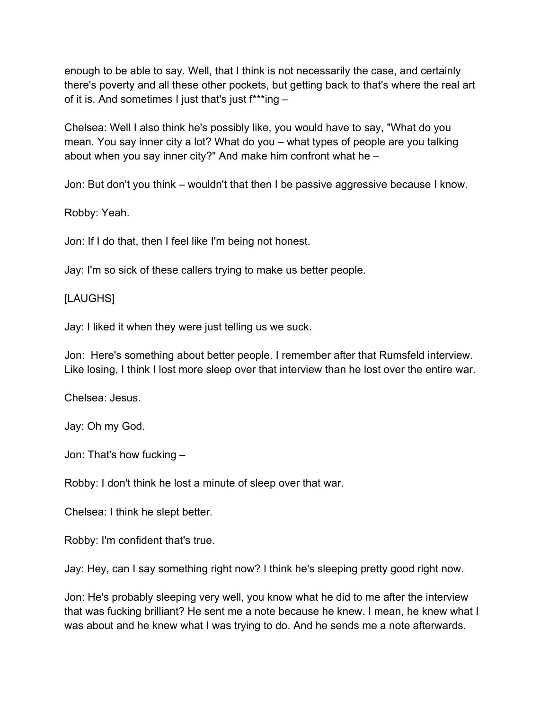enough to be able to say. Well, that I think is not necessarily the case, and certainly there's poverty and all these other pockets, but getting back to that's where the real art of it is. And sometimes I just that's just f\*\*\*ing –

Chelsea: Well I also think he's possibly like, you would have to say, "What do you mean. You say inner city a lot? What do you – what types of people are you talking about when you say inner city?" And make him confront what he –

Jon: But don't you think – wouldn't that then I be passive aggressive because I know.

Robby: Yeah.

Jon: If I do that, then I feel like I'm being not honest.

Jay: I'm so sick of these callers trying to make us better people.

### [LAUGHS]

Jay: I liked it when they were just telling us we suck.

Jon: Here's something about better people. I remember after that Rumsfeld interview. Like losing, I think I lost more sleep over that interview than he lost over the entire war.

Chelsea: Jesus.

Jay: Oh my God.

Jon: That's how fucking –

Robby: I don't think he lost a minute of sleep over that war.

Chelsea: I think he slept better.

Robby: I'm confident that's true.

Jay: Hey, can I say something right now? I think he's sleeping pretty good right now.

Jon: He's probably sleeping very well, you know what he did to me after the interview that was fucking brilliant? He sent me a note because he knew. I mean, he knew what I was about and he knew what I was trying to do. And he sends me a note afterwards.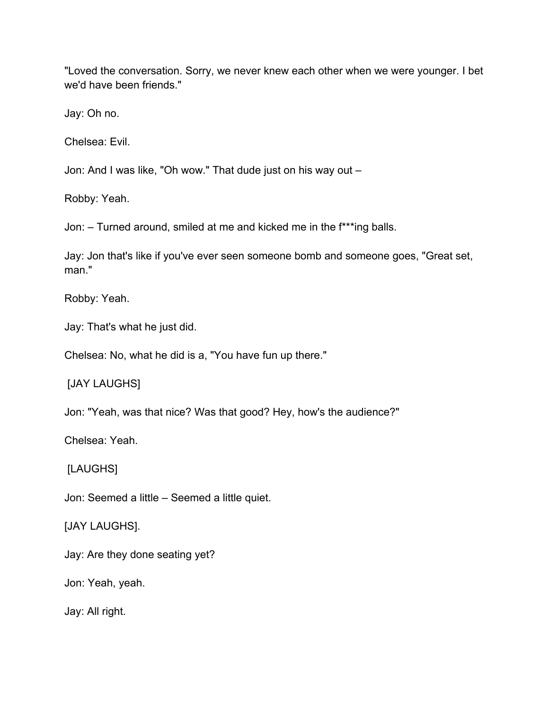"Loved the conversation. Sorry, we never knew each other when we were younger. I bet we'd have been friends."

Jay: Oh no.

Chelsea: Evil.

Jon: And I was like, "Oh wow." That dude just on his way out –

Robby: Yeah.

Jon: – Turned around, smiled at me and kicked me in the f\*\*\*ing balls.

Jay: Jon that's like if you've ever seen someone bomb and someone goes, "Great set, man."

Robby: Yeah.

Jay: That's what he just did.

Chelsea: No, what he did is a, "You have fun up there."

[JAY LAUGHS]

Jon: "Yeah, was that nice? Was that good? Hey, how's the audience?"

Chelsea: Yeah.

[LAUGHS]

Jon: Seemed a little – Seemed a little quiet.

[JAY LAUGHS].

Jay: Are they done seating yet?

Jon: Yeah, yeah.

Jay: All right.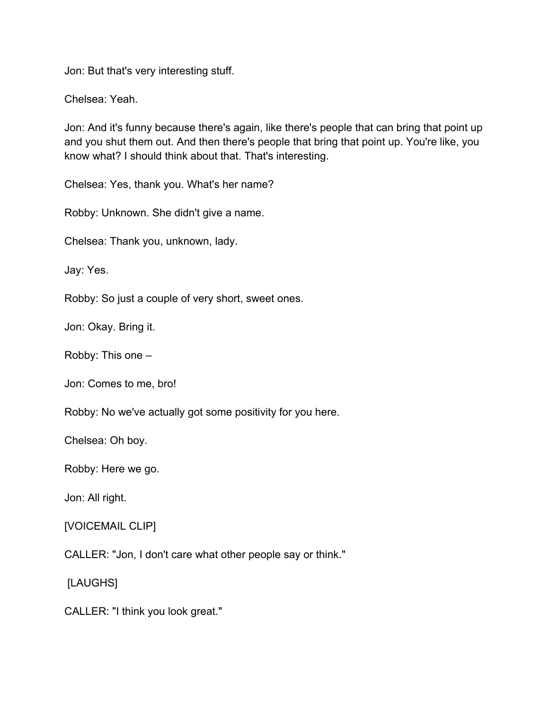Jon: But that's very interesting stuff.

Chelsea: Yeah.

Jon: And it's funny because there's again, like there's people that can bring that point up and you shut them out. And then there's people that bring that point up. You're like, you know what? I should think about that. That's interesting.

Chelsea: Yes, thank you. What's her name?

Robby: Unknown. She didn't give a name.

Chelsea: Thank you, unknown, lady.

Jay: Yes.

Robby: So just a couple of very short, sweet ones.

Jon: Okay. Bring it.

Robby: This one –

Jon: Comes to me, bro!

Robby: No we've actually got some positivity for you here.

Chelsea: Oh boy.

Robby: Here we go.

Jon: All right.

### [VOICEMAIL CLIP]

CALLER: "Jon, I don't care what other people say or think."

[LAUGHS]

CALLER: "I think you look great."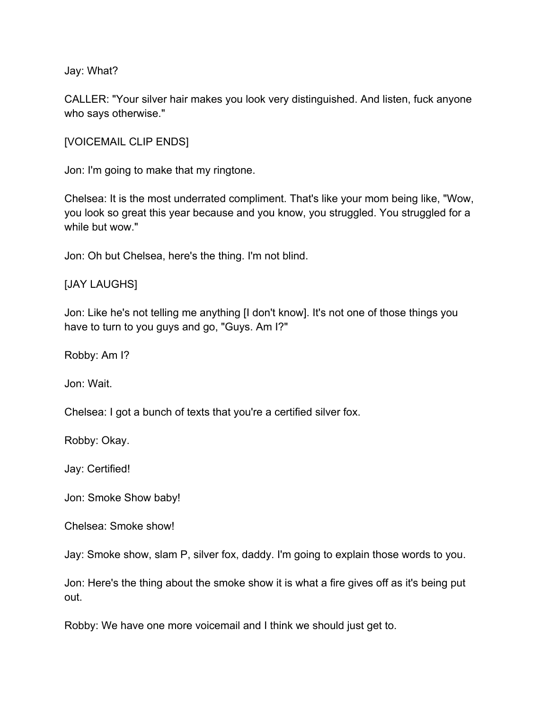Jay: What?

CALLER: "Your silver hair makes you look very distinguished. And listen, fuck anyone who says otherwise."

[VOICEMAIL CLIP ENDS]

Jon: I'm going to make that my ringtone.

Chelsea: It is the most underrated compliment. That's like your mom being like, "Wow, you look so great this year because and you know, you struggled. You struggled for a while but wow."

Jon: Oh but Chelsea, here's the thing. I'm not blind.

#### [JAY LAUGHS]

Jon: Like he's not telling me anything [I don't know]. It's not one of those things you have to turn to you guys and go, "Guys. Am I?"

Robby: Am I?

Jon: Wait.

Chelsea: I got a bunch of texts that you're a certified silver fox.

Robby: Okay.

Jay: Certified!

Jon: Smoke Show baby!

Chelsea: Smoke show!

Jay: Smoke show, slam P, silver fox, daddy. I'm going to explain those words to you.

Jon: Here's the thing about the smoke show it is what a fire gives off as it's being put out.

Robby: We have one more voicemail and I think we should just get to.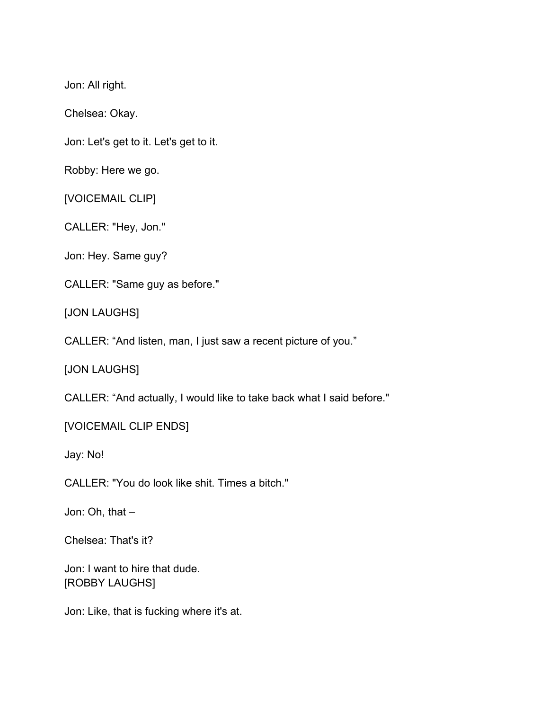Jon: All right.

Chelsea: Okay.

Jon: Let's get to it. Let's get to it.

Robby: Here we go.

[VOICEMAIL CLIP]

CALLER: "Hey, Jon."

Jon: Hey. Same guy?

CALLER: "Same guy as before."

[JON LAUGHS]

CALLER: "And listen, man, I just saw a recent picture of you."

[JON LAUGHS]

CALLER: "And actually, I would like to take back what I said before."

[VOICEMAIL CLIP ENDS]

Jay: No!

CALLER: "You do look like shit. Times a bitch."

Jon: Oh, that –

Chelsea: That's it?

Jon: I want to hire that dude. [ROBBY LAUGHS]

Jon: Like, that is fucking where it's at.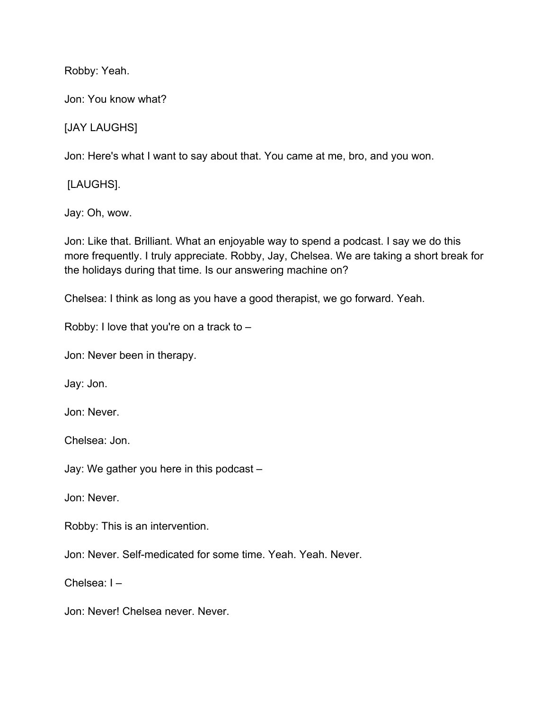Robby: Yeah.

Jon: You know what?

[JAY LAUGHS]

Jon: Here's what I want to say about that. You came at me, bro, and you won.

[LAUGHS].

Jay: Oh, wow.

Jon: Like that. Brilliant. What an enjoyable way to spend a podcast. I say we do this more frequently. I truly appreciate. Robby, Jay, Chelsea. We are taking a short break for the holidays during that time. Is our answering machine on?

Chelsea: I think as long as you have a good therapist, we go forward. Yeah.

Robby: I love that you're on a track to –

Jon: Never been in therapy.

Jay: Jon.

Jon: Never.

Chelsea: Jon.

Jay: We gather you here in this podcast –

Jon: Never.

Robby: This is an intervention.

Jon: Never. Self-medicated for some time. Yeah. Yeah. Never.

Chelsea: I –

Jon: Never! Chelsea never. Never.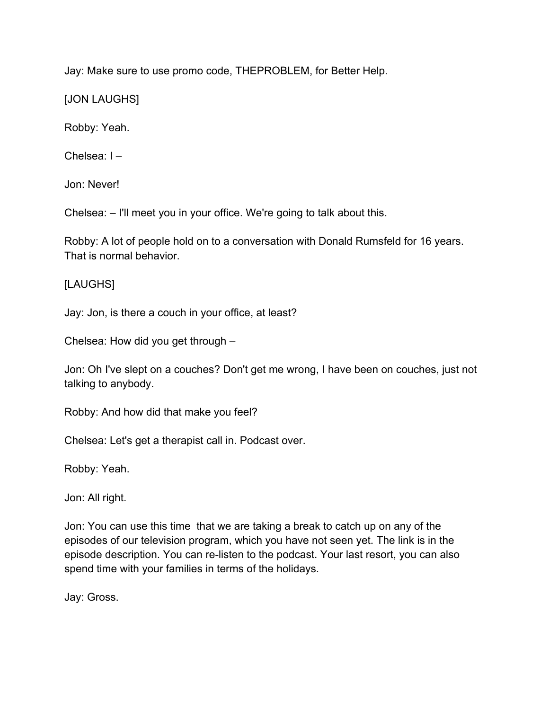Jay: Make sure to use promo code, THEPROBLEM, for Better Help.

[JON LAUGHS]

Robby: Yeah.

Chelsea: I –

Jon: Never!

Chelsea: – I'll meet you in your office. We're going to talk about this.

Robby: A lot of people hold on to a conversation with Donald Rumsfeld for 16 years. That is normal behavior.

[LAUGHS]

Jay: Jon, is there a couch in your office, at least?

Chelsea: How did you get through –

Jon: Oh I've slept on a couches? Don't get me wrong, I have been on couches, just not talking to anybody.

Robby: And how did that make you feel?

Chelsea: Let's get a therapist call in. Podcast over.

Robby: Yeah.

Jon: All right.

Jon: You can use this time that we are taking a break to catch up on any of the episodes of our television program, which you have not seen yet. The link is in the episode description. You can re-listen to the podcast. Your last resort, you can also spend time with your families in terms of the holidays.

Jay: Gross.